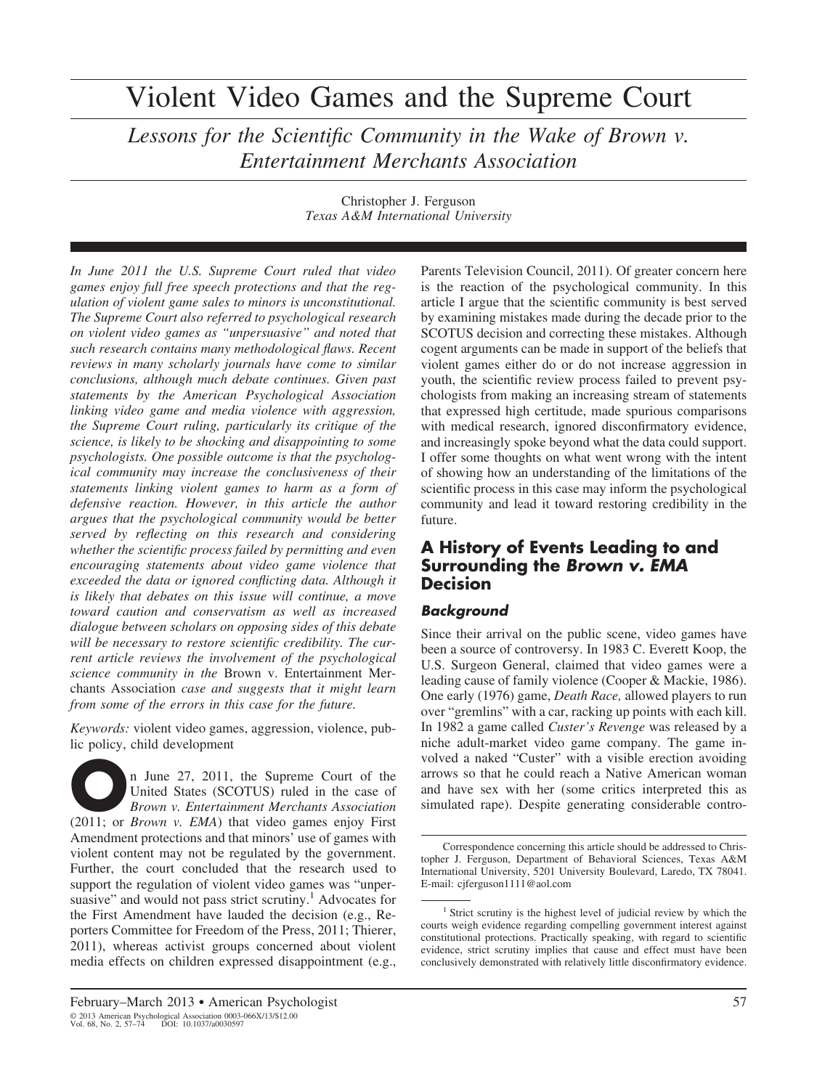# Violent Video Games and the Supreme Court

*Lessons for the Scientific Community in the Wake of Brown v. Entertainment Merchants Association*

> Christopher J. Ferguson *Texas A&M International University*

*In June 2011 the U.S. Supreme Court ruled that video games enjoy full free speech protections and that the regulation of violent game sales to minors is unconstitutional. The Supreme Court also referred to psychological research on violent video games as "unpersuasive" and noted that such research contains many methodological flaws. Recent reviews in many scholarly journals have come to similar conclusions, although much debate continues. Given past statements by the American Psychological Association linking video game and media violence with aggression, the Supreme Court ruling, particularly its critique of the science, is likely to be shocking and disappointing to some psychologists. One possible outcome is that the psychological community may increase the conclusiveness of their statements linking violent games to harm as a form of defensive reaction. However, in this article the author argues that the psychological community would be better served by reflecting on this research and considering whether the scientific process failed by permitting and even encouraging statements about video game violence that exceeded the data or ignored conflicting data. Although it is likely that debates on this issue will continue, a move toward caution and conservatism as well as increased dialogue between scholars on opposing sides of this debate will be necessary to restore scientific credibility. The current article reviews the involvement of the psychological science community in the* Brown v. Entertainment Merchants Association *case and suggests that it might learn from some of the errors in this case for the future.*

*Keywords:* violent video games, aggression, violence, public policy, child development

**O**n June 27, 2011, the Supreme Court of the United States (SCOTUS) ruled in the case of *[Brown v. Entertainment Merchants Association](#page-14-0)* [\(2011;](#page-14-0) or *Brown v. EMA*) that video games enjoy First Amendment protections and that minors' use of games with violent content may not be regulated by the government. Further, the court concluded that the research used to support the regulation of violent video games was "unpersuasive" and would not pass strict scrutiny.<sup>1</sup> Advocates for the First Amendment have lauded the decision (e.g., [Re](#page-16-0)[porters Committee for Freedom of the Press, 2011;](#page-16-0) [Thierer,](#page-16-1) [2011\)](#page-16-1), whereas activist groups concerned about violent media effects on children expressed disappointment (e.g.,

[Parents Television Council, 2011\)](#page-16-2). Of greater concern here is the reaction of the psychological community. In this article I argue that the scientific community is best served by examining mistakes made during the decade prior to the SCOTUS decision and correcting these mistakes. Although cogent arguments can be made in support of the beliefs that violent games either do or do not increase aggression in youth, the scientific review process failed to prevent psychologists from making an increasing stream of statements that expressed high certitude, made spurious comparisons with medical research, ignored disconfirmatory evidence, and increasingly spoke beyond what the data could support. I offer some thoughts on what went wrong with the intent of showing how an understanding of the limitations of the scientific process in this case may inform the psychological community and lead it toward restoring credibility in the future.

## **A History of Events Leading to and Surrounding the** *Brown v. EMA* **Decision**

### *Background*

Since their arrival on the public scene, video games have been a source of controversy. In 1983 C. Everett Koop, the U.S. Surgeon General, claimed that video games were a leading cause of family violence [\(Cooper & Mackie, 1986\)](#page-14-1). One early (1976) game, *Death Race,* allowed players to run over "gremlins" with a car, racking up points with each kill. In 1982 a game called *Custer's Revenge* was released by a niche adult-market video game company. The game involved a naked "Custer" with a visible erection avoiding arrows so that he could reach a Native American woman and have sex with her (some critics interpreted this as simulated rape). Despite generating considerable contro-

Correspondence concerning this article should be addressed to Christopher J. Ferguson, Department of Behavioral Sciences, Texas A&M International University, 5201 University Boulevard, Laredo, TX 78041. E-mail: [cjferguson1111@aol.com](mailto:cjferguson1111@aol.com)

<sup>&</sup>lt;sup>1</sup> Strict scrutiny is the highest level of judicial review by which the courts weigh evidence regarding compelling government interest against constitutional protections. Practically speaking, with regard to scientific evidence, strict scrutiny implies that cause and effect must have been conclusively demonstrated with relatively little disconfirmatory evidence.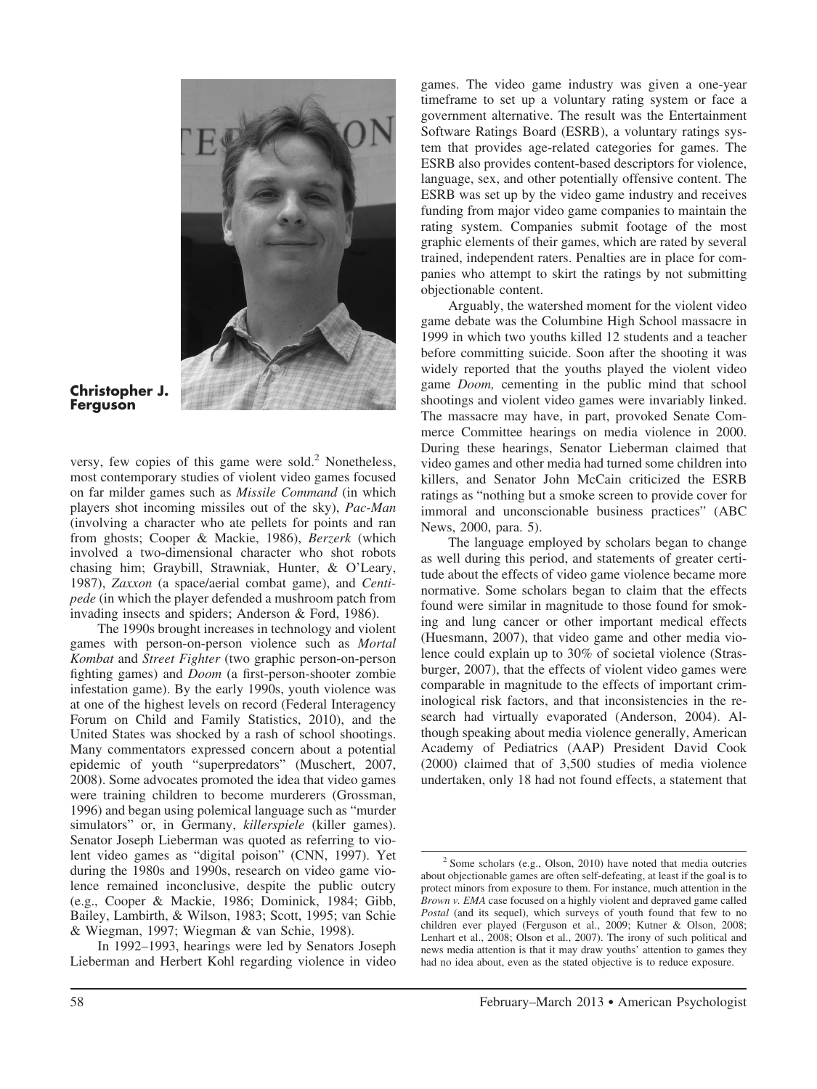

#### **Christopher J. Ferguson**

versy, few copies of this game were sold. $<sup>2</sup>$  Nonetheless,</sup> most contemporary studies of violent video games focused on far milder games such as *Missile Command* (in which players shot incoming missiles out of the sky), *Pac-Man* (involving a character who ate pellets for points and ran from ghosts; [Cooper & Mackie, 1986\)](#page-14-1), *Berzerk* (which involved a two-dimensional character who shot robots chasing him; [Graybill, Strawniak, Hunter, & O'Leary,](#page-15-0) [1987\)](#page-15-0), *Zaxxon* (a space/aerial combat game), and *Centipede* (in which the player defended a mushroom patch from invading insects and spiders; [Anderson & Ford, 1986\)](#page-14-2).

The 1990s brought increases in technology and violent games with person-on-person violence such as *Mortal Kombat* and *Street Fighter* (two graphic person-on-person fighting games) and *Doom* (a first-person-shooter zombie infestation game). By the early 1990s, youth violence was at one of the highest levels on record [\(Federal Interagency](#page-15-1) [Forum on Child and Family Statistics, 2010\)](#page-15-1), and the United States was shocked by a rash of school shootings. Many commentators expressed concern about a potential epidemic of youth "superpredators" [\(Muschert, 2007,](#page-16-3) [2008\)](#page-16-4). Some advocates promoted the idea that video games were training children to become murderers [\(Grossman,](#page-15-2) [1996\)](#page-15-2) and began using polemical language such as "murder simulators" or, in Germany, *killerspiele* (killer games). Senator Joseph Lieberman was quoted as referring to violent video games as "digital poison" [\(CNN, 1997\)](#page-14-3). Yet during the 1980s and 1990s, research on video game violence remained inconclusive, despite the public outcry (e.g., [Cooper & Mackie, 1986;](#page-14-1) [Dominick, 1984;](#page-15-3) [Gibb,](#page-15-4) [Bailey, Lambirth, & Wilson, 1983;](#page-15-4) [Scott, 1995;](#page-16-5) [van Schie](#page-17-0) [& Wiegman, 1997;](#page-17-0) [Wiegman & van Schie, 1998\)](#page-17-1).

In 1992–1993, hearings were led by Senators Joseph Lieberman and Herbert Kohl regarding violence in video

games. The video game industry was given a one-year timeframe to set up a voluntary rating system or face a government alternative. The result was the Entertainment Software Ratings Board (ESRB), a voluntary ratings system that provides age-related categories for games. The ESRB also provides content-based descriptors for violence, language, sex, and other potentially offensive content. The ESRB was set up by the video game industry and receives funding from major video game companies to maintain the rating system. Companies submit footage of the most graphic elements of their games, which are rated by several trained, independent raters. Penalties are in place for companies who attempt to skirt the ratings by not submitting objectionable content.

Arguably, the watershed moment for the violent video game debate was the Columbine High School massacre in 1999 in which two youths killed 12 students and a teacher before committing suicide. Soon after the shooting it was widely reported that the youths played the violent video game *Doom,* cementing in the public mind that school shootings and violent video games were invariably linked. The massacre may have, in part, provoked Senate Commerce Committee hearings on media violence in 2000. During these hearings, Senator Lieberman claimed that video games and other media had turned some children into killers, and Senator John McCain criticized the ESRB ratings as "nothing but a smoke screen to provide cover for immoral and unconscionable business practices" [\(ABC](#page-14-4) [News, 2000,](#page-14-4) para. 5).

The language employed by scholars began to change as well during this period, and statements of greater certitude about the effects of video game violence became more normative. Some scholars began to claim that the effects found were similar in magnitude to those found for smoking and lung cancer or other important medical effects [\(Huesmann, 2007\)](#page-15-5), that video game and other media violence could explain up to 30% of societal violence [\(Stras](#page-16-6)[burger, 2007\)](#page-16-6), that the effects of violent video games were comparable in magnitude to the effects of important criminological risk factors, and that inconsistencies in the research had virtually evaporated [\(Anderson, 2004\)](#page-14-5). Although speaking about media violence generally, American Academy of Pediatrics (AAP) President David [Cook](#page-14-6) [\(2000\)](#page-14-6) claimed that of 3,500 studies of media violence undertaken, only 18 had not found effects, a statement that

<sup>2</sup> Some scholars (e.g., [Olson, 2010\)](#page-16-7) have noted that media outcries about objectionable games are often self-defeating, at least if the goal is to protect minors from exposure to them. For instance, much attention in the *Brown v. EMA* case focused on a highly violent and depraved game called *Postal* (and its sequel), which surveys of youth found that few to no children ever played [\(Ferguson et al., 2009;](#page-15-6) [Kutner & Olson, 2008;](#page-16-8) [Lenhart et al., 2008;](#page-16-9) [Olson et al., 2007\)](#page-16-10). The irony of such political and news media attention is that it may draw youths' attention to games they had no idea about, even as the stated objective is to reduce exposure.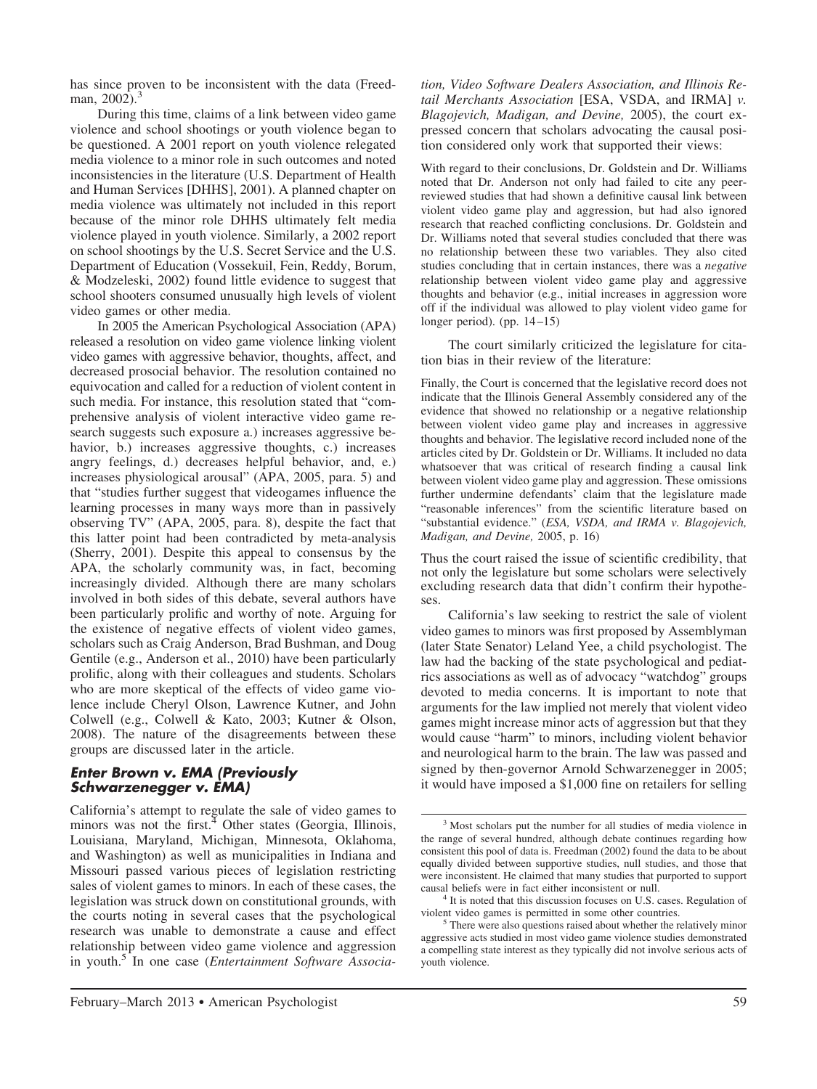has since proven to be inconsistent with the data [\(Freed](#page-15-7)man,  $2002$ ).<sup>3</sup>

During this time, claims of a link between video game violence and school shootings or youth violence began to be questioned. A 2001 report on youth violence relegated media violence to a minor role in such outcomes and noted inconsistencies in the literature [\(U.S. Department of Health](#page-17-2) [and Human Services \[DHHS\], 2001\)](#page-17-2). A planned chapter on media violence was ultimately not included in this report because of the minor role DHHS ultimately felt media violence played in youth violence. Similarly, a 2002 report on school shootings by the U.S. Secret Service and the U.S. Department of Education [\(Vossekuil, Fein, Reddy, Borum,](#page-17-3) [& Modzeleski, 2002\)](#page-17-3) found little evidence to suggest that school shooters consumed unusually high levels of violent video games or other media.

In 2005 the American Psychological Association (APA) released a resolution on video game violence linking violent video games with aggressive behavior, thoughts, affect, and decreased prosocial behavior. The resolution contained no equivocation and called for a reduction of violent content in such media. For instance, this resolution stated that "comprehensive analysis of violent interactive video game research suggests such exposure a.) increases aggressive behavior, b.) increases aggressive thoughts, c.) increases angry feelings, d.) decreases helpful behavior, and, e.) increases physiological arousal" [\(APA, 2005,](#page-14-7) para. 5) and that "studies further suggest that videogames influence the learning processes in many ways more than in passively observing TV" [\(APA, 2005,](#page-14-7) para. 8), despite the fact that this latter point had been contradicted by meta-analysis [\(Sherry, 2001\)](#page-16-11). Despite this appeal to consensus by the APA, the scholarly community was, in fact, becoming increasingly divided. Although there are many scholars involved in both sides of this debate, several authors have been particularly prolific and worthy of note. Arguing for the existence of negative effects of violent video games, scholars such as Craig Anderson, Brad Bushman, and Doug Gentile (e.g., [Anderson et al., 2010\)](#page-14-8) have been particularly prolific, along with their colleagues and students. Scholars who are more skeptical of the effects of video game violence include Cheryl Olson, Lawrence Kutner, and John Colwell (e.g., [Colwell & Kato, 2003;](#page-14-9) [Kutner & Olson,](#page-16-8) [2008\)](#page-16-8). The nature of the disagreements between these groups are discussed later in the article.

#### *Enter Brown v. EMA (Previously Schwarzenegger v. EMA)*

California's attempt to regulate the sale of video games to minors was not the first. $4$  Other states (Georgia, Illinois, Louisiana, Maryland, Michigan, Minnesota, Oklahoma, and Washington) as well as municipalities in Indiana and Missouri passed various pieces of legislation restricting sales of violent games to minors. In each of these cases, the legislation was struck down on constitutional grounds, with the courts noting in several cases that the psychological research was unable to demonstrate a cause and effect relationship between video game violence and aggression in youth.<sup>5</sup> In one case (*[Entertainment Software Associa-](#page-15-8)* *[tion, Video Software Dealers Association, and Illinois Re](#page-15-8)[tail Merchants Association](#page-15-8)* [ESA, VSDA, and IRMA] *v. [Blagojevich, Madigan, and Devine,](#page-15-8)* 2005), the court expressed concern that scholars advocating the causal position considered only work that supported their views:

With regard to their conclusions, Dr. Goldstein and Dr. Williams noted that Dr. Anderson not only had failed to cite any peerreviewed studies that had shown a definitive causal link between violent video game play and aggression, but had also ignored research that reached conflicting conclusions. Dr. Goldstein and Dr. Williams noted that several studies concluded that there was no relationship between these two variables. They also cited studies concluding that in certain instances, there was a *negative* relationship between violent video game play and aggressive thoughts and behavior (e.g., initial increases in aggression wore off if the individual was allowed to play violent video game for longer period). (pp. 14–15)

The court similarly criticized the legislature for citation bias in their review of the literature:

Finally, the Court is concerned that the legislative record does not indicate that the Illinois General Assembly considered any of the evidence that showed no relationship or a negative relationship between violent video game play and increases in aggressive thoughts and behavior. The legislative record included none of the articles cited by Dr. Goldstein or Dr. Williams. It included no data whatsoever that was critical of research finding a causal link between violent video game play and aggression. These omissions further undermine defendants' claim that the legislature made "reasonable inferences" from the scientific literature based on "substantial evidence." (*[ESA, VSDA, and IRMA v. Blagojevich,](#page-15-8) [Madigan, and Devine,](#page-15-8)* 2005, p. 16)

Thus the court raised the issue of scientific credibility, that not only the legislature but some scholars were selectively excluding research data that didn't confirm their hypotheses.

California's law seeking to restrict the sale of violent video games to minors was first proposed by Assemblyman (later State Senator) Leland Yee, a child psychologist. The law had the backing of the state psychological and pediatrics associations as well as of advocacy "watchdog" groups devoted to media concerns. It is important to note that arguments for the law implied not merely that violent video games might increase minor acts of aggression but that they would cause "harm" to minors, including violent behavior and neurological harm to the brain. The law was passed and signed by then-governor Arnold Schwarzenegger in 2005; it would have imposed a \$1,000 fine on retailers for selling

<sup>&</sup>lt;sup>3</sup> Most scholars put the number for all studies of media violence in the range of several hundred, although debate continues regarding how consistent this pool of data is. [Freedman \(2002\)](#page-15-7) found the data to be about equally divided between supportive studies, null studies, and those that were inconsistent. He claimed that many studies that purported to support causal beliefs were in fact either inconsistent or null. <sup>4</sup> It is noted that this discussion focuses on U.S. cases. Regulation of

violent video games is permitted in some other countries.<br><sup>5</sup> There were also questions raised about whether the relatively minor

aggressive acts studied in most video game violence studies demonstrated a compelling state interest as they typically did not involve serious acts of youth violence.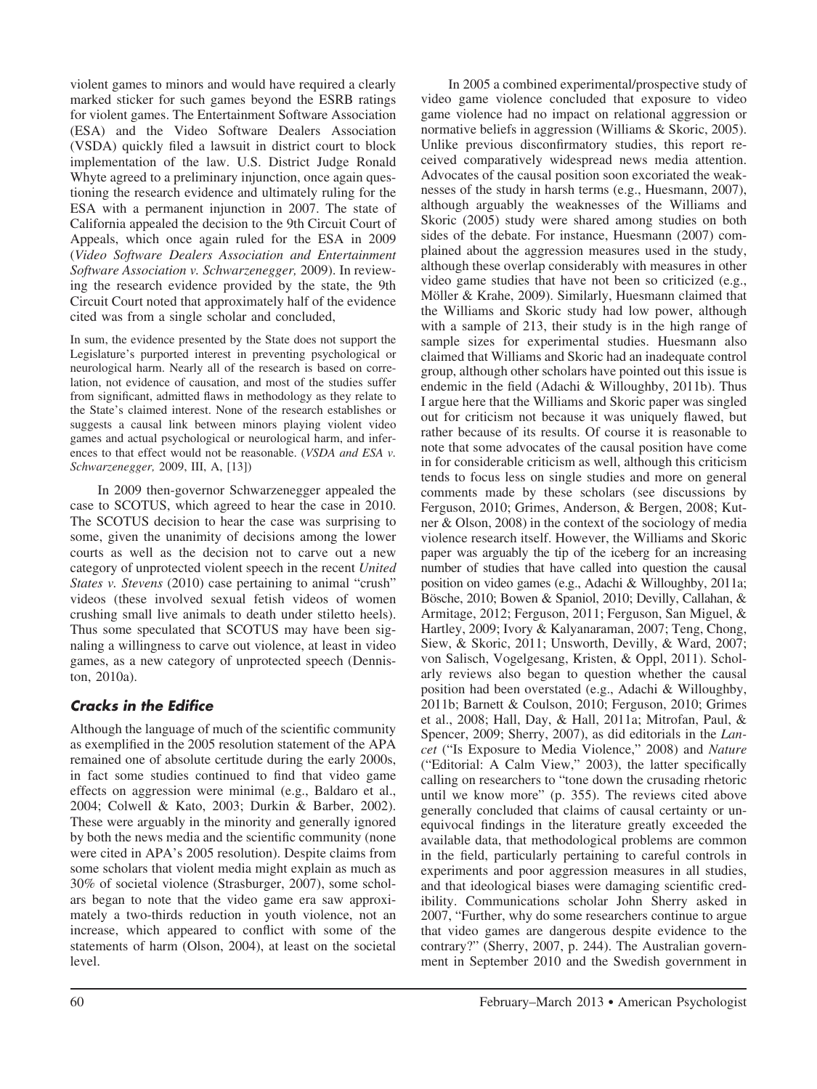violent games to minors and would have required a clearly marked sticker for such games beyond the ESRB ratings for violent games. The Entertainment Software Association (ESA) and the Video Software Dealers Association (VSDA) quickly filed a lawsuit in district court to block implementation of the law. U.S. District Judge Ronald Whyte agreed to a preliminary injunction, once again questioning the research evidence and ultimately ruling for the ESA with a permanent injunction in 2007. The state of California appealed the decision to the 9th Circuit Court of Appeals, which once again ruled for the ESA in 2009 (*[Video Software Dealers Association and Entertainment](#page-17-4) [Software Association v. Schwarzenegger,](#page-17-4)* 2009). In reviewing the research evidence provided by the state, the 9th Circuit Court noted that approximately half of the evidence cited was from a single scholar and concluded,

In sum, the evidence presented by the State does not support the Legislature's purported interest in preventing psychological or neurological harm. Nearly all of the research is based on correlation, not evidence of causation, and most of the studies suffer from significant, admitted flaws in methodology as they relate to the State's claimed interest. None of the research establishes or suggests a causal link between minors playing violent video games and actual psychological or neurological harm, and inferences to that effect would not be reasonable. (*[VSDA and ESA v.](#page-17-4) [Schwarzenegger,](#page-17-4)* 2009, III, A, [13])

In 2009 then-governor Schwarzenegger appealed the case to SCOTUS, which agreed to hear the case in 2010. The SCOTUS decision to hear the case was surprising to some, given the unanimity of decisions among the lower courts as well as the decision not to carve out a new category of unprotected violent speech in the recent *[United](#page-16-12) [States v. Stevens](#page-16-12)* (2010) case pertaining to animal "crush" videos (these involved sexual fetish videos of women crushing small live animals to death under stiletto heels). Thus some speculated that SCOTUS may have been signaling a willingness to carve out violence, at least in video games, as a new category of unprotected speech [\(Dennis](#page-15-9)[ton, 2010a\)](#page-15-9).

## *Cracks in the Edifice*

Although the language of much of the scientific community as exemplified in the 2005 resolution statement of the APA remained one of absolute certitude during the early 2000s, in fact some studies continued to find that video game effects on aggression were minimal (e.g., [Baldaro et al.,](#page-14-10) [2004;](#page-14-10) [Colwell & Kato, 2003;](#page-14-9) [Durkin & Barber, 2002\)](#page-15-10). These were arguably in the minority and generally ignored by both the news media and the scientific community (none were cited in APA's 2005 resolution). Despite claims from some scholars that violent media might explain as much as 30% of societal violence [\(Strasburger, 2007\)](#page-16-6), some scholars began to note that the video game era saw approximately a two-thirds reduction in youth violence, not an increase, which appeared to conflict with some of the statements of harm [\(Olson, 2004\)](#page-16-13), at least on the societal level.

In 2005 a combined experimental/prospective study of video game violence concluded that exposure to video game violence had no impact on relational aggression or normative beliefs in aggression [\(Williams & Skoric, 2005\)](#page-17-5). Unlike previous disconfirmatory studies, this report received comparatively widespread news media attention. Advocates of the causal position soon excoriated the weaknesses of the study in harsh terms (e.g., [Huesmann, 2007\)](#page-15-5), although arguably the weaknesses of the [Williams and](#page-17-5) [Skoric \(2005\)](#page-17-5) study were shared among studies on both sides of the debate. For instance, [Huesmann \(2007\)](#page-15-5) complained about the aggression measures used in the study, although these overlap considerably with measures in other video game studies that have not been so criticized (e.g., [Möller & Krahe, 2009\)](#page-16-14). Similarly, Huesmann claimed that the Williams and Skoric study had low power, although with a sample of 213, their study is in the high range of sample sizes for experimental studies. Huesmann also claimed that Williams and Skoric had an inadequate control group, although other scholars have pointed out this issue is endemic in the field [\(Adachi & Willoughby, 2011b\)](#page-14-11). Thus I argue here that the Williams and Skoric paper was singled out for criticism not because it was uniquely flawed, but rather because of its results. Of course it is reasonable to note that some advocates of the causal position have come in for considerable criticism as well, although this criticism tends to focus less on single studies and more on general comments made by these scholars (see discussions by [Ferguson, 2010;](#page-15-11) [Grimes, Anderson, & Bergen, 2008;](#page-15-12) [Kut](#page-16-8)[ner & Olson, 2008\)](#page-16-8) in the context of the sociology of media violence research itself. However, the Williams and Skoric paper was arguably the tip of the iceberg for an increasing number of studies that have called into question the causal position on video games (e.g., [Adachi & Willoughby, 2011a;](#page-14-12) [Bösche, 2010;](#page-14-13) [Bowen & Spaniol, 2010;](#page-14-14) [Devilly, Callahan, &](#page-15-13) [Armitage, 2012;](#page-15-13) [Ferguson, 2011;](#page-15-14) [Ferguson, San Miguel, &](#page-15-6) [Hartley, 2009;](#page-15-6) [Ivory & Kalyanaraman, 2007;](#page-15-15) [Teng, Chong,](#page-16-15) [Siew, & Skoric, 2011;](#page-16-15) [Unsworth, Devilly, & Ward, 2007;](#page-16-16) [von Salisch, Vogelgesang, Kristen, & Oppl, 2011\)](#page-17-6). Scholarly reviews also began to question whether the causal position had been overstated (e.g., [Adachi & Willoughby,](#page-14-11) [2011b;](#page-14-11) [Barnett & Coulson, 2010;](#page-14-15) [Ferguson, 2010;](#page-15-11) [Grimes](#page-15-12) [et al., 2008;](#page-15-12) [Hall, Day, & Hall, 2011a;](#page-15-16) [Mitrofan, Paul, &](#page-16-17) [Spencer, 2009;](#page-16-17) [Sherry, 2007\)](#page-16-18), as did editorials in the *Lancet* [\("Is Exposure to Media Violence," 2008\)](#page-15-17) and *Nature* [\("Editorial: A Calm View," 2003\)](#page-15-18), the latter specifically calling on researchers to "tone down the crusading rhetoric until we know more" (p. 355). The reviews cited above generally concluded that claims of causal certainty or unequivocal findings in the literature greatly exceeded the available data, that methodological problems are common in the field, particularly pertaining to careful controls in experiments and poor aggression measures in all studies, and that ideological biases were damaging scientific credibility. Communications scholar John Sherry asked in 2007, "Further, why do some researchers continue to argue that video games are dangerous despite evidence to the contrary?" [\(Sherry, 2007,](#page-16-18) p. 244). The Australian government in September 2010 and the Swedish government in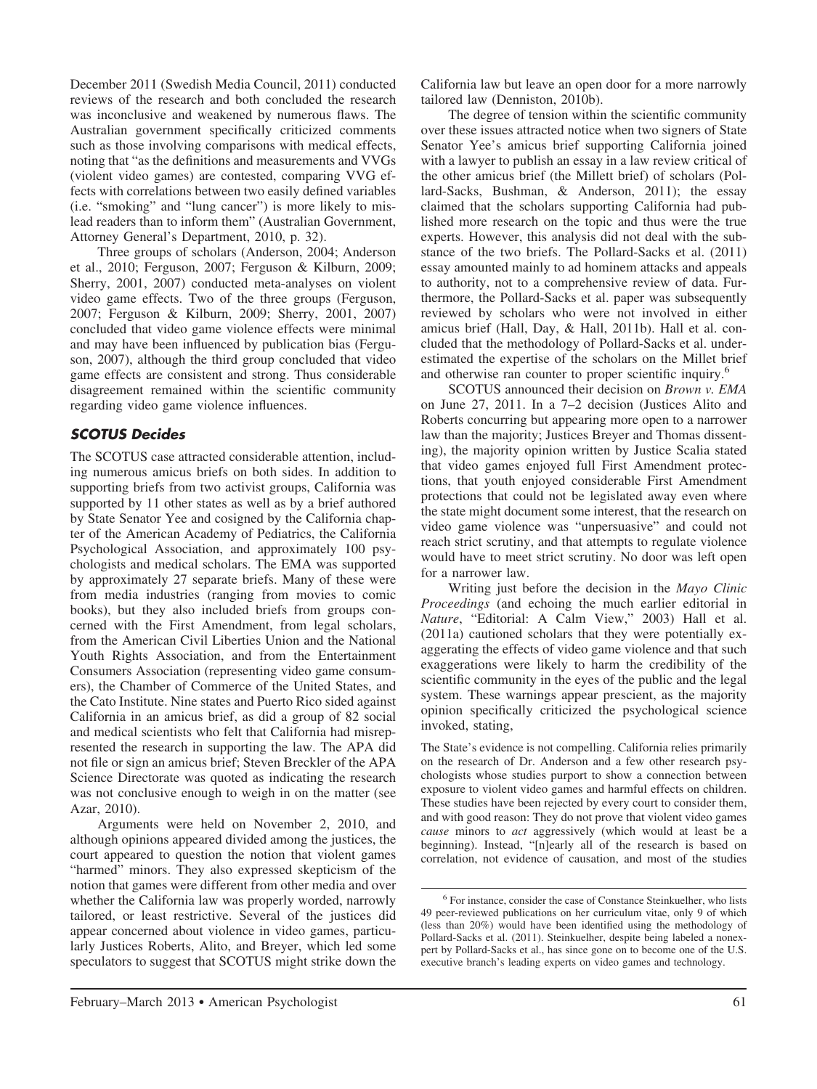December 2011 [\(Swedish Media Council, 2011\)](#page-16-19) conducted reviews of the research and both concluded the research was inconclusive and weakened by numerous flaws. The Australian government specifically criticized comments such as those involving comparisons with medical effects, noting that "as the definitions and measurements and VVGs (violent video games) are contested, comparing VVG effects with correlations between two easily defined variables (i.e. "smoking" and "lung cancer") is more likely to mislead readers than to inform them" [\(Australian Government,](#page-14-16) [Attorney General's Department, 2010,](#page-14-16) p. 32).

Three groups of scholars [\(Anderson, 2004;](#page-14-5) [Anderson](#page-14-8) [et al., 2010;](#page-14-8) [Ferguson, 2007;](#page-15-19) [Ferguson & Kilburn, 2009;](#page-15-20) [Sherry, 2001,](#page-16-11) [2007\)](#page-16-18) conducted meta-analyses on violent video game effects. Two of the three groups [\(Ferguson,](#page-15-19) [2007;](#page-15-19) [Ferguson & Kilburn, 2009;](#page-15-20) [Sherry, 2001,](#page-16-11) [2007\)](#page-16-18) concluded that video game violence effects were minimal and may have been influenced by publication bias [\(Fergu](#page-15-19)[son, 2007\)](#page-15-19), although the third group concluded that video game effects are consistent and strong. Thus considerable disagreement remained within the scientific community regarding video game violence influences.

#### *SCOTUS Decides*

The SCOTUS case attracted considerable attention, including numerous amicus briefs on both sides. In addition to supporting briefs from two activist groups, California was supported by 11 other states as well as by a brief authored by State Senator Yee and cosigned by the California chapter of the American Academy of Pediatrics, the California Psychological Association, and approximately 100 psychologists and medical scholars. The EMA was supported by approximately 27 separate briefs. Many of these were from media industries (ranging from movies to comic books), but they also included briefs from groups concerned with the First Amendment, from legal scholars, from the American Civil Liberties Union and the National Youth Rights Association, and from the Entertainment Consumers Association (representing video game consumers), the Chamber of Commerce of the United States, and the Cato Institute. Nine states and Puerto Rico sided against California in an amicus brief, as did a group of 82 social and medical scientists who felt that California had misrepresented the research in supporting the law. The APA did not file or sign an amicus brief; Steven Breckler of the APA Science Directorate was quoted as indicating the research was not conclusive enough to weigh in on the matter (see [Azar, 2010\)](#page-14-17).

Arguments were held on November 2, 2010, and although opinions appeared divided among the justices, the court appeared to question the notion that violent games "harmed" minors. They also expressed skepticism of the notion that games were different from other media and over whether the California law was properly worded, narrowly tailored, or least restrictive. Several of the justices did appear concerned about violence in video games, particularly Justices Roberts, Alito, and Breyer, which led some speculators to suggest that SCOTUS might strike down the

California law but leave an open door for a more narrowly tailored law [\(Denniston, 2010b\)](#page-15-21).

The degree of tension within the scientific community over these issues attracted notice when two signers of State Senator Yee's amicus brief supporting California joined with a lawyer to publish an essay in a law review critical of the other amicus brief (the Millett brief) of scholars [\(Pol](#page-16-20)[lard-Sacks, Bushman, & Anderson, 2011\)](#page-16-20); the essay claimed that the scholars supporting California had published more research on the topic and thus were the true experts. However, this analysis did not deal with the substance of the two briefs. The [Pollard-Sacks et al. \(2011\)](#page-16-20) essay amounted mainly to ad hominem attacks and appeals to authority, not to a comprehensive review of data. Furthermore, the Pollard-Sacks et al. paper was subsequently reviewed by scholars who were not involved in either amicus brief [\(Hall, Day, & Hall, 2011b\)](#page-15-22). Hall et al. concluded that the methodology of Pollard-Sacks et al. underestimated the expertise of the scholars on the Millet brief and otherwise ran counter to proper scientific inquiry.<sup>6</sup>

SCOTUS announced their decision on *[Brown v. EMA](#page-14-0)* [on June 27, 2011.](#page-14-0) In a 7–2 decision (Justices Alito and Roberts concurring but appearing more open to a narrower law than the majority; Justices Breyer and Thomas dissenting), the majority opinion written by Justice Scalia stated that video games enjoyed full First Amendment protections, that youth enjoyed considerable First Amendment protections that could not be legislated away even where the state might document some interest, that the research on video game violence was "unpersuasive" and could not reach strict scrutiny, and that attempts to regulate violence would have to meet strict scrutiny. No door was left open for a narrower law.

Writing just before the decision in the *Mayo Clinic Proceedings* (and echoing the much earlier editorial in *Nature*, ["Editorial: A Calm View," 2003\)](#page-15-18) [Hall et al.](#page-15-16) [\(2011a\)](#page-15-16) cautioned scholars that they were potentially exaggerating the effects of video game violence and that such exaggerations were likely to harm the credibility of the scientific community in the eyes of the public and the legal system. These warnings appear prescient, as the majority opinion specifically criticized the psychological science invoked, stating,

The State's evidence is not compelling. California relies primarily on the research of Dr. Anderson and a few other research psychologists whose studies purport to show a connection between exposure to violent video games and harmful effects on children. These studies have been rejected by every court to consider them, and with good reason: They do not prove that violent video games *cause* minors to *act* aggressively (which would at least be a beginning). Instead, "[n]early all of the research is based on correlation, not evidence of causation, and most of the studies

<sup>6</sup> For instance, consider the case of Constance Steinkuelher, who lists 49 peer-reviewed publications on her curriculum vitae, only 9 of which (less than 20%) would have been identified using the methodology of [Pollard-Sacks et al. \(2011\).](#page-16-20) Steinkuelher, despite being labeled a nonexpert by Pollard-Sacks et al., has since gone on to become one of the U.S. executive branch's leading experts on video games and technology.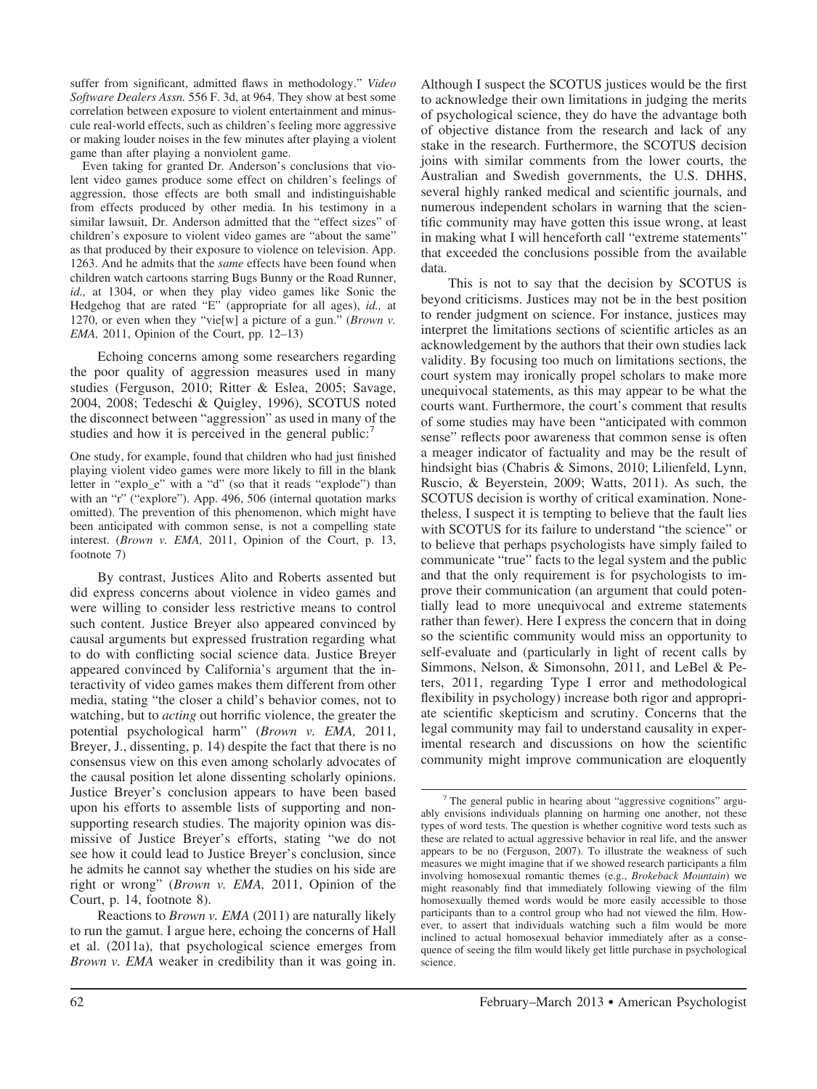suffer from significant, admitted flaws in methodology." *Video Software Dealers Assn.* 556 F. 3d, at 964. They show at best some correlation between exposure to violent entertainment and minuscule real-world effects, such as children's feeling more aggressive or making louder noises in the few minutes after playing a violent game than after playing a nonviolent game.

Even taking for granted Dr. Anderson's conclusions that violent video games produce some effect on children's feelings of aggression, those effects are both small and indistinguishable from effects produced by other media. In his testimony in a similar lawsuit, Dr. Anderson admitted that the "effect sizes" of children's exposure to violent video games are "about the same" as that produced by their exposure to violence on television. App. 1263. And he admits that the *same* effects have been found when children watch cartoons starring Bugs Bunny or the Road Runner, *id.,* at 1304, or when they play video games like Sonic the Hedgehog that are rated "E" (appropriate for all ages), *id.,* at 1270, or even when they "vie[w] a picture of a gun." (*[Brown v.](#page-14-0) [EMA,](#page-14-0)* 2011, Opinion of the Court, pp. 12–13)

Echoing concerns among some researchers regarding the poor quality of aggression measures used in many studies [\(Ferguson, 2010;](#page-15-11) [Ritter & Eslea, 2005;](#page-16-21) [Savage,](#page-16-22) [2004,](#page-16-22) [2008;](#page-16-23) [Tedeschi & Quigley, 1996\)](#page-16-24), SCOTUS noted the disconnect between "aggression" as used in many of the studies and how it is perceived in the general public:<sup>7</sup>

One study, for example, found that children who had just finished playing violent video games were more likely to fill in the blank letter in "explo\_e" with a "d" (so that it reads "explode") than with an "r" ("explore"). App. 496, 506 (internal quotation marks omitted). The prevention of this phenomenon, which might have been anticipated with common sense, is not a compelling state interest. (*[Brown v. EMA,](#page-14-0)* 2011, Opinion of the Court, p. 13, footnote 7)

By contrast, Justices Alito and Roberts assented but did express concerns about violence in video games and were willing to consider less restrictive means to control such content. Justice Breyer also appeared convinced by causal arguments but expressed frustration regarding what to do with conflicting social science data. Justice Breyer appeared convinced by California's argument that the interactivity of video games makes them different from other media, stating "the closer a child's behavior comes, not to watching, but to *acting* out horrific violence, the greater the potential psychological harm" (*[Brown v. EMA,](#page-14-0)* 2011, Breyer, J., dissenting, p. 14) despite the fact that there is no consensus view on this even among scholarly advocates of the causal position let alone dissenting scholarly opinions. Justice Breyer's conclusion appears to have been based upon his efforts to assemble lists of supporting and nonsupporting research studies. The majority opinion was dismissive of Justice Breyer's efforts, stating "we do not see how it could lead to Justice Breyer's conclusion, since he admits he cannot say whether the studies on his side are right or wrong" (*[Brown v. EMA,](#page-14-0)* 2011, Opinion of the Court, p. 14, footnote 8).

Although I suspect the SCOTUS justices would be the first to acknowledge their own limitations in judging the merits of psychological science, they do have the advantage both of objective distance from the research and lack of any stake in the research. Furthermore, the SCOTUS decision joins with similar comments from the lower courts, the Australian and Swedish governments, the U.S. DHHS, several highly ranked medical and scientific journals, and numerous independent scholars in warning that the scientific community may have gotten this issue wrong, at least in making what I will henceforth call "extreme statements" that exceeded the conclusions possible from the available data.

This is not to say that the decision by SCOTUS is beyond criticisms. Justices may not be in the best position to render judgment on science. For instance, justices may interpret the limitations sections of scientific articles as an acknowledgement by the authors that their own studies lack validity. By focusing too much on limitations sections, the court system may ironically propel scholars to make more unequivocal statements, as this may appear to be what the courts want. Furthermore, the court's comment that results of some studies may have been "anticipated with common sense" reflects poor awareness that common sense is often a meager indicator of factuality and may be the result of hindsight bias [\(Chabris & Simons, 2010;](#page-14-18) [Lilienfeld, Lynn,](#page-16-25) [Ruscio, & Beyerstein, 2009;](#page-16-25) [Watts, 2011\)](#page-17-7). As such, the SCOTUS decision is worthy of critical examination. Nonetheless, I suspect it is tempting to believe that the fault lies with SCOTUS for its failure to understand "the science" or to believe that perhaps psychologists have simply failed to communicate "true" facts to the legal system and the public and that the only requirement is for psychologists to improve their communication (an argument that could potentially lead to more unequivocal and extreme statements rather than fewer). Here I express the concern that in doing so the scientific community would miss an opportunity to self-evaluate and (particularly in light of recent calls by [Simmons, Nelson, & Simonsohn, 2011,](#page-16-26) and [LeBel & Pe](#page-16-27)[ters, 2011,](#page-16-27) regarding Type I error and methodological flexibility in psychology) increase both rigor and appropriate scientific skepticism and scrutiny. Concerns that the legal community may fail to understand causality in experimental research and discussions on how the scientific community might improve communication are eloquently

Reactions to *[Brown v. EMA](#page-14-0)* (2011) are naturally likely to run the gamut. I argue here, echoing the concerns of [Hall](#page-15-16) [et al. \(2011a\),](#page-15-16) that psychological science emerges from *Brown v. EMA* weaker in credibility than it was going in.

<sup>7</sup> The general public in hearing about "aggressive cognitions" arguably envisions individuals planning on harming one another, not these types of word tests. The question is whether cognitive word tests such as these are related to actual aggressive behavior in real life, and the answer appears to be no [\(Ferguson, 2007\)](#page-15-19). To illustrate the weakness of such measures we might imagine that if we showed research participants a film involving homosexual romantic themes (e.g., *Brokeback Mountain*) we might reasonably find that immediately following viewing of the film homosexually themed words would be more easily accessible to those participants than to a control group who had not viewed the film. However, to assert that individuals watching such a film would be more inclined to actual homosexual behavior immediately after as a consequence of seeing the film would likely get little purchase in psychological science.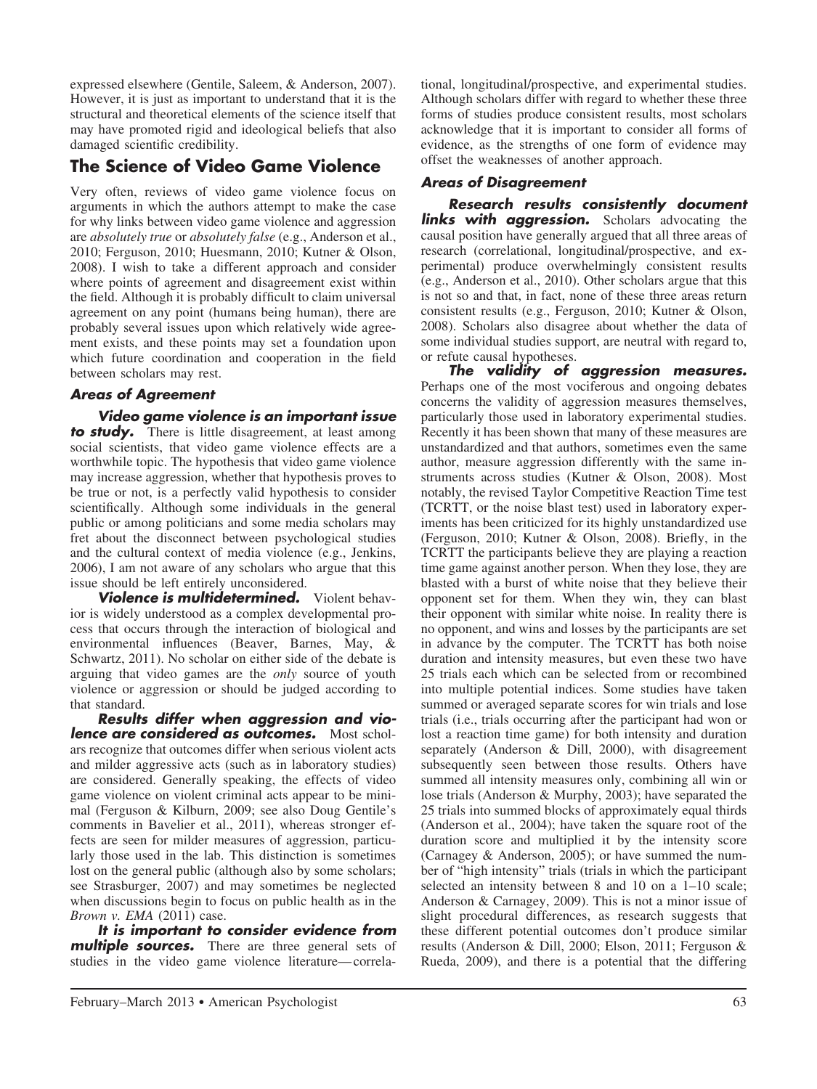expressed elsewhere [\(Gentile, Saleem, & Anderson, 2007\)](#page-15-23). However, it is just as important to understand that it is the structural and theoretical elements of the science itself that may have promoted rigid and ideological beliefs that also damaged scientific credibility.

## **The Science of Video Game Violence**

Very often, reviews of video game violence focus on arguments in which the authors attempt to make the case for why links between video game violence and aggression are *absolutely true* or *absolutely false* (e.g., [Anderson et al.,](#page-14-8) [2010;](#page-14-8) [Ferguson, 2010;](#page-15-11) [Huesmann, 2010;](#page-15-24) [Kutner & Olson,](#page-16-8) [2008\)](#page-16-8). I wish to take a different approach and consider where points of agreement and disagreement exist within the field. Although it is probably difficult to claim universal agreement on any point (humans being human), there are probably several issues upon which relatively wide agreement exists, and these points may set a foundation upon which future coordination and cooperation in the field between scholars may rest.

#### *Areas of Agreement*

*Video game violence is an important issue* **to study.** There is little disagreement, at least among social scientists, that video game violence effects are a worthwhile topic. The hypothesis that video game violence may increase aggression, whether that hypothesis proves to be true or not, is a perfectly valid hypothesis to consider scientifically. Although some individuals in the general public or among politicians and some media scholars may fret about the disconnect between psychological studies and the cultural context of media violence (e.g., [Jenkins,](#page-15-25) [2006\)](#page-15-25), I am not aware of any scholars who argue that this issue should be left entirely unconsidered.

*Violence is multidetermined.* Violent behavior is widely understood as a complex developmental process that occurs through the interaction of biological and environmental influences [\(Beaver, Barnes, May, &](#page-14-19) [Schwartz, 2011\)](#page-14-19). No scholar on either side of the debate is arguing that video games are the *only* source of youth violence or aggression or should be judged according to that standard.

*Results differ when aggression and violence are considered as outcomes.* Most scholars recognize that outcomes differ when serious violent acts and milder aggressive acts (such as in laboratory studies) are considered. Generally speaking, the effects of video game violence on violent criminal acts appear to be minimal [\(Ferguson & Kilburn, 2009;](#page-15-20) see also Doug Gentile's comments in [Bavelier et al., 2011\)](#page-14-20), whereas stronger effects are seen for milder measures of aggression, particularly those used in the lab. This distinction is sometimes lost on the general public (although also by some scholars; see [Strasburger, 2007\)](#page-16-6) and may sometimes be neglected when discussions begin to focus on public health as in the *[Brown v. EMA](#page-14-0)* (2011) case.

*It is important to consider evidence from* **multiple sources.** There are three general sets of studies in the video game violence literature—correla-

tional, longitudinal/prospective, and experimental studies. Although scholars differ with regard to whether these three forms of studies produce consistent results, most scholars acknowledge that it is important to consider all forms of evidence, as the strengths of one form of evidence may offset the weaknesses of another approach.

#### *Areas of Disagreement*

*Research results consistently document* **links with aggression.** Scholars advocating the causal position have generally argued that all three areas of research (correlational, longitudinal/prospective, and experimental) produce overwhelmingly consistent results (e.g., [Anderson et al., 2010\)](#page-14-8). Other scholars argue that this is not so and that, in fact, none of these three areas return consistent results (e.g., [Ferguson, 2010;](#page-15-11) [Kutner & Olson,](#page-16-8) [2008\)](#page-16-8). Scholars also disagree about whether the data of some individual studies support, are neutral with regard to, or refute causal hypotheses.

*The validity of aggression measures.* Perhaps one of the most vociferous and ongoing debates concerns the validity of aggression measures themselves, particularly those used in laboratory experimental studies. Recently it has been shown that many of these measures are unstandardized and that authors, sometimes even the same author, measure aggression differently with the same instruments across studies [\(Kutner & Olson, 2008\)](#page-16-8). Most notably, the revised Taylor Competitive Reaction Time test (TCRTT, or the noise blast test) used in laboratory experiments has been criticized for its highly unstandardized use [\(Ferguson, 2010;](#page-15-11) [Kutner & Olson, 2008\)](#page-16-8). Briefly, in the TCRTT the participants believe they are playing a reaction time game against another person. When they lose, they are blasted with a burst of white noise that they believe their opponent set for them. When they win, they can blast their opponent with similar white noise. In reality there is no opponent, and wins and losses by the participants are set in advance by the computer. The TCRTT has both noise duration and intensity measures, but even these two have 25 trials each which can be selected from or recombined into multiple potential indices. Some studies have taken summed or averaged separate scores for win trials and lose trials (i.e., trials occurring after the participant had won or lost a reaction time game) for both intensity and duration separately [\(Anderson & Dill, 2000\)](#page-14-21), with disagreement subsequently seen between those results. Others have summed all intensity measures only, combining all win or lose trials [\(Anderson & Murphy, 2003\)](#page-14-22); have separated the 25 trials into summed blocks of approximately equal thirds [\(Anderson et al., 2004\)](#page-14-23); have taken the square root of the duration score and multiplied it by the intensity score [\(Carnagey & Anderson, 2005\)](#page-14-24); or have summed the number of "high intensity" trials (trials in which the participant selected an intensity between 8 and 10 on a 1–10 scale; [Anderson & Carnagey, 2009\)](#page-14-25). This is not a minor issue of slight procedural differences, as research suggests that these different potential outcomes don't produce similar results [\(Anderson & Dill, 2000;](#page-14-21) [Elson, 2011;](#page-15-26) [Ferguson &](#page-15-27) [Rueda, 2009\)](#page-15-27), and there is a potential that the differing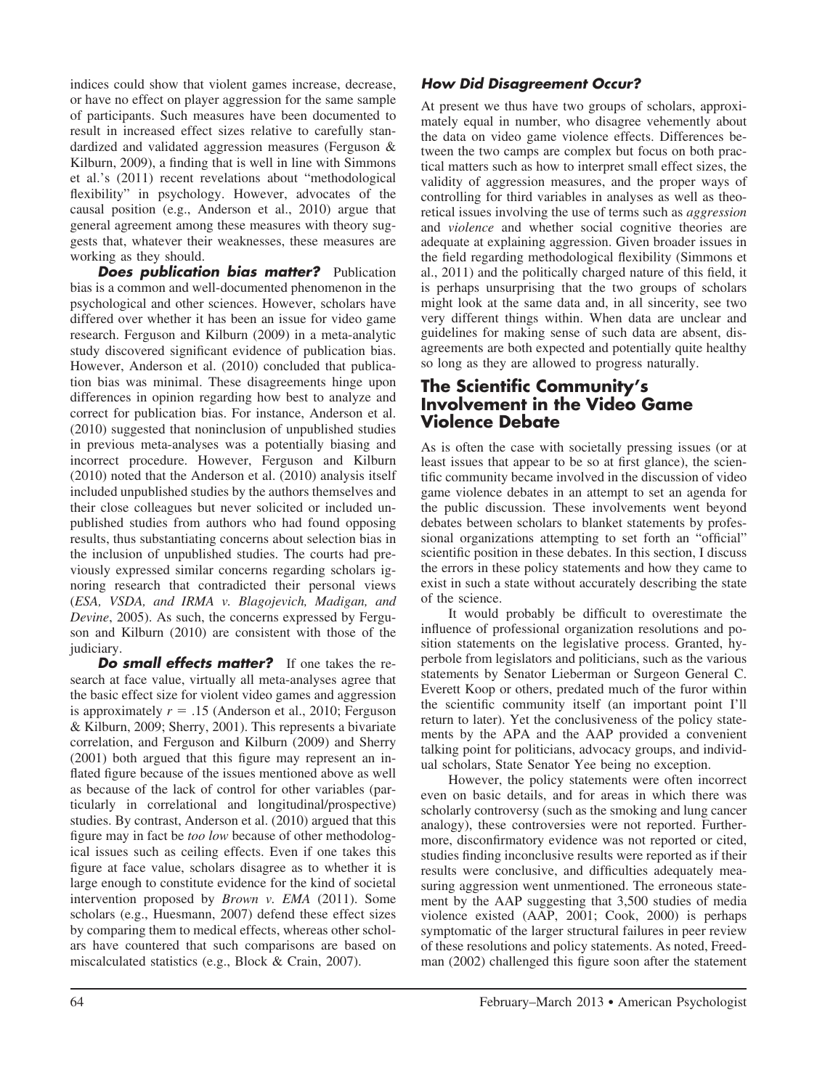indices could show that violent games increase, decrease, or have no effect on player aggression for the same sample of participants. Such measures have been documented to result in increased effect sizes relative to carefully standardized and validated aggression measures [\(Ferguson &](#page-15-20) [Kilburn, 2009\)](#page-15-20), a finding that is well in line with [Simmons](#page-16-26) [et al.'s \(2011\)](#page-16-26) recent revelations about "methodological flexibility" in psychology. However, advocates of the causal position (e.g., [Anderson et al., 2010\)](#page-14-8) argue that general agreement among these measures with theory suggests that, whatever their weaknesses, these measures are working as they should.

**Does publication bias matter?** Publication bias is a common and well-documented phenomenon in the psychological and other sciences. However, scholars have differed over whether it has been an issue for video game research. [Ferguson and Kilburn \(2009\)](#page-15-20) in a meta-analytic study discovered significant evidence of publication bias. However, [Anderson et al. \(2010\)](#page-14-8) concluded that publication bias was minimal. These disagreements hinge upon differences in opinion regarding how best to analyze and correct for publication bias. For instance, [Anderson et al.](#page-14-8) [\(2010\)](#page-14-8) suggested that noninclusion of unpublished studies in previous meta-analyses was a potentially biasing and incorrect procedure. However, [Ferguson and Kilburn](#page-15-28) [\(2010\)](#page-15-28) noted that the [Anderson et al. \(2010\)](#page-14-8) analysis itself included unpublished studies by the authors themselves and their close colleagues but never solicited or included unpublished studies from authors who had found opposing results, thus substantiating concerns about selection bias in the inclusion of unpublished studies. The courts had previously expressed similar concerns regarding scholars ignoring research that contradicted their personal views (*[ESA, VSDA, and IRMA v. Blagojevich, Madigan, and](#page-15-8) [Devine](#page-15-8)*, 2005). As such, the concerns expressed by [Fergu](#page-15-28)[son and Kilburn \(2010\)](#page-15-28) are consistent with those of the judiciary.

*Do small effects matter?* If one takes the research at face value, virtually all meta-analyses agree that the basic effect size for violent video games and aggression is approximately  $r = .15$  [\(Anderson et al., 2010;](#page-14-8) [Ferguson](#page-15-20) [& Kilburn, 2009;](#page-15-20) [Sherry, 2001\)](#page-16-11). This represents a bivariate correlation, and [Ferguson and Kilburn \(2009\)](#page-15-20) and [Sherry](#page-16-11) [\(2001\)](#page-16-11) both argued that this figure may represent an inflated figure because of the issues mentioned above as well as because of the lack of control for other variables (particularly in correlational and longitudinal/prospective) studies. By contrast, [Anderson et al. \(2010\)](#page-14-8) argued that this figure may in fact be *too low* because of other methodological issues such as ceiling effects. Even if one takes this figure at face value, scholars disagree as to whether it is large enough to constitute evidence for the kind of societal intervention proposed by *[Brown v. EMA](#page-14-0)* (2011). Some scholars (e.g., [Huesmann, 2007\)](#page-15-5) defend these effect sizes by comparing them to medical effects, whereas other scholars have countered that such comparisons are based on miscalculated statistics (e.g., [Block & Crain, 2007\)](#page-14-26).

#### *How Did Disagreement Occur?*

At present we thus have two groups of scholars, approximately equal in number, who disagree vehemently about the data on video game violence effects. Differences between the two camps are complex but focus on both practical matters such as how to interpret small effect sizes, the validity of aggression measures, and the proper ways of controlling for third variables in analyses as well as theoretical issues involving the use of terms such as *aggression* and *violence* and whether social cognitive theories are adequate at explaining aggression. Given broader issues in the field regarding methodological flexibility [\(Simmons et](#page-16-26) [al., 2011\)](#page-16-26) and the politically charged nature of this field, it is perhaps unsurprising that the two groups of scholars might look at the same data and, in all sincerity, see two very different things within. When data are unclear and guidelines for making sense of such data are absent, disagreements are both expected and potentially quite healthy so long as they are allowed to progress naturally.

## **The Scientific Community's Involvement in the Video Game Violence Debate**

As is often the case with societally pressing issues (or at least issues that appear to be so at first glance), the scientific community became involved in the discussion of video game violence debates in an attempt to set an agenda for the public discussion. These involvements went beyond debates between scholars to blanket statements by professional organizations attempting to set forth an "official" scientific position in these debates. In this section, I discuss the errors in these policy statements and how they came to exist in such a state without accurately describing the state of the science.

It would probably be difficult to overestimate the influence of professional organization resolutions and position statements on the legislative process. Granted, hyperbole from legislators and politicians, such as the various statements by Senator Lieberman or Surgeon General C. Everett Koop or others, predated much of the furor within the scientific community itself (an important point I'll return to later). Yet the conclusiveness of the policy statements by the APA and the AAP provided a convenient talking point for politicians, advocacy groups, and individual scholars, State Senator Yee being no exception.

However, the policy statements were often incorrect even on basic details, and for areas in which there was scholarly controversy (such as the smoking and lung cancer analogy), these controversies were not reported. Furthermore, disconfirmatory evidence was not reported or cited, studies finding inconclusive results were reported as if their results were conclusive, and difficulties adequately measuring aggression went unmentioned. The erroneous statement by the AAP suggesting that 3,500 studies of media violence existed [\(AAP, 2001;](#page-14-27) [Cook, 2000\)](#page-14-6) is perhaps symptomatic of the larger structural failures in peer review of these resolutions and policy statements. As noted, [Freed](#page-15-7)[man \(2002\)](#page-15-7) challenged this figure soon after the statement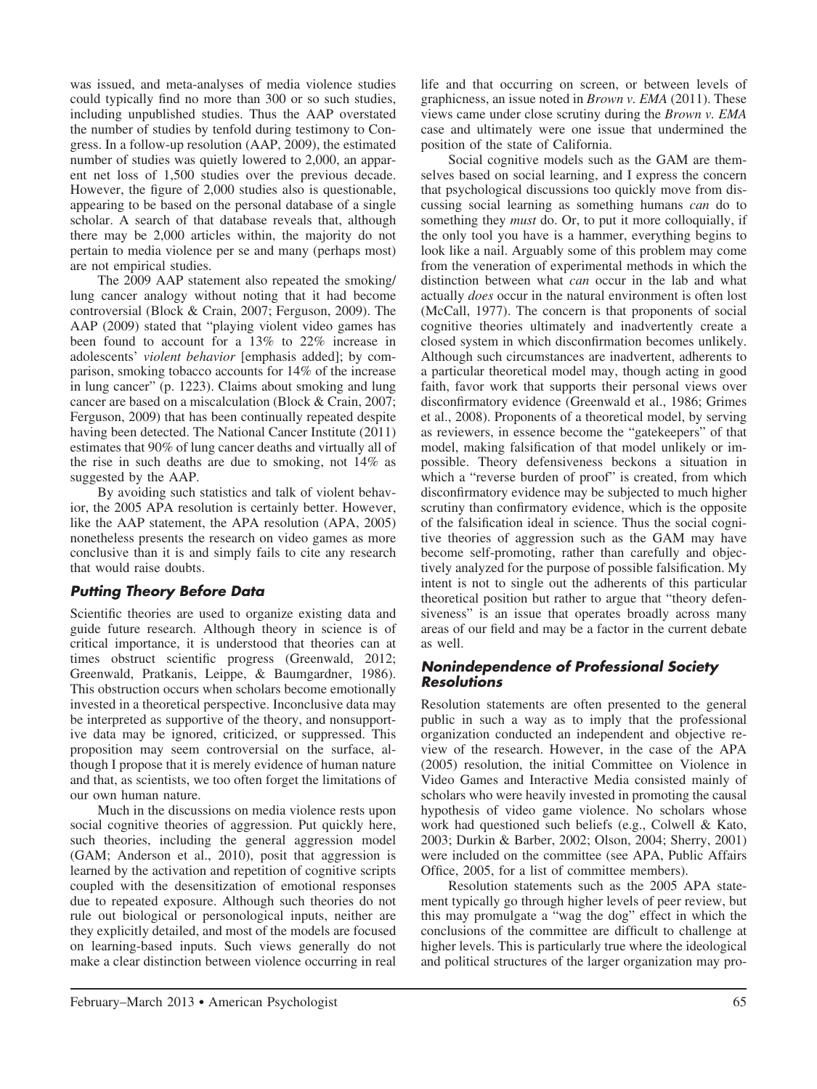was issued, and meta-analyses of media violence studies could typically find no more than 300 or so such studies, including unpublished studies. Thus the AAP overstated the number of studies by tenfold during testimony to Congress. In a follow-up resolution [\(AAP, 2009\)](#page-14-28), the estimated number of studies was quietly lowered to 2,000, an apparent net loss of 1,500 studies over the previous decade. However, the figure of 2,000 studies also is questionable, appearing to be based on the personal database of a single scholar. A search of that database reveals that, although there may be 2,000 articles within, the majority do not pertain to media violence per se and many (perhaps most) are not empirical studies.

The 2009 AAP statement also repeated the smoking/ lung cancer analogy without noting that it had become controversial [\(Block & Crain, 2007;](#page-14-26) [Ferguson, 2009\)](#page-15-29). The [AAP \(2009\)](#page-14-28) stated that "playing violent video games has been found to account for a 13% to 22% increase in adolescents' *violent behavior* [emphasis added]; by comparison, smoking tobacco accounts for 14% of the increase in lung cancer" (p. 1223). Claims about smoking and lung cancer are based on a miscalculation [\(Block & Crain, 2007;](#page-14-26) [Ferguson, 2009\)](#page-15-29) that has been continually repeated despite having been detected. The [National Cancer Institute \(2011\)](#page-16-28) estimates that 90% of lung cancer deaths and virtually all of the rise in such deaths are due to smoking, not 14% as suggested by the AAP.

By avoiding such statistics and talk of violent behavior, the 2005 APA resolution is certainly better. However, like the AAP statement, the APA resolution [\(APA, 2005\)](#page-14-7) nonetheless presents the research on video games as more conclusive than it is and simply fails to cite any research that would raise doubts.

#### *Putting Theory Before Data*

Scientific theories are used to organize existing data and guide future research. Although theory in science is of critical importance, it is understood that theories can at times obstruct scientific progress [\(Greenwald, 2012;](#page-15-30) [Greenwald, Pratkanis, Leippe, & Baumgardner, 1986\)](#page-15-31). This obstruction occurs when scholars become emotionally invested in a theoretical perspective. Inconclusive data may be interpreted as supportive of the theory, and nonsupportive data may be ignored, criticized, or suppressed. This proposition may seem controversial on the surface, although I propose that it is merely evidence of human nature and that, as scientists, we too often forget the limitations of our own human nature.

Much in the discussions on media violence rests upon social cognitive theories of aggression. Put quickly here, such theories, including the general aggression model (GAM; [Anderson et al., 2010\)](#page-14-8), posit that aggression is learned by the activation and repetition of cognitive scripts coupled with the desensitization of emotional responses due to repeated exposure. Although such theories do not rule out biological or personological inputs, neither are they explicitly detailed, and most of the models are focused on learning-based inputs. Such views generally do not make a clear distinction between violence occurring in real life and that occurring on screen, or between levels of graphicness, an issue noted in *[Brown v. EMA](#page-14-0)* (2011). These views came under close scrutiny during the *Brown v. EMA* case and ultimately were one issue that undermined the position of the state of California.

Social cognitive models such as the GAM are themselves based on social learning, and I express the concern that psychological discussions too quickly move from discussing social learning as something humans *can* do to something they *must* do. Or, to put it more colloquially, if the only tool you have is a hammer, everything begins to look like a nail. Arguably some of this problem may come from the veneration of experimental methods in which the distinction between what *can* occur in the lab and what actually *does* occur in the natural environment is often lost [\(McCall, 1977\)](#page-16-29). The concern is that proponents of social cognitive theories ultimately and inadvertently create a closed system in which disconfirmation becomes unlikely. Although such circumstances are inadvertent, adherents to a particular theoretical model may, though acting in good faith, favor work that supports their personal views over disconfirmatory evidence [\(Greenwald et al., 1986;](#page-15-31) [Grimes](#page-15-12) [et al., 2008\)](#page-15-12). Proponents of a theoretical model, by serving as reviewers, in essence become the "gatekeepers" of that model, making falsification of that model unlikely or impossible. Theory defensiveness beckons a situation in which a "reverse burden of proof" is created, from which disconfirmatory evidence may be subjected to much higher scrutiny than confirmatory evidence, which is the opposite of the falsification ideal in science. Thus the social cognitive theories of aggression such as the GAM may have become self-promoting, rather than carefully and objectively analyzed for the purpose of possible falsification. My intent is not to single out the adherents of this particular theoretical position but rather to argue that "theory defensiveness" is an issue that operates broadly across many areas of our field and may be a factor in the current debate as well.

#### *Nonindependence of Professional Society Resolutions*

Resolution statements are often presented to the general public in such a way as to imply that the professional organization conducted an independent and objective review of the research. However, in the case of the [APA](#page-14-7) [\(2005\)](#page-14-7) resolution, the initial Committee on Violence in Video Games and Interactive Media consisted mainly of scholars who were heavily invested in promoting the causal hypothesis of video game violence. No scholars whose work had questioned such beliefs (e.g., [Colwell & Kato,](#page-14-9) [2003;](#page-14-9) [Durkin & Barber, 2002;](#page-15-10) [Olson, 2004;](#page-16-13) [Sherry, 2001\)](#page-16-11) were included on the committee (see [APA, Public Affairs](#page-14-29) [Office, 2005,](#page-14-29) for a list of committee members).

Resolution statements such as the 2005 APA statement typically go through higher levels of peer review, but this may promulgate a "wag the dog" effect in which the conclusions of the committee are difficult to challenge at higher levels. This is particularly true where the ideological and political structures of the larger organization may pro-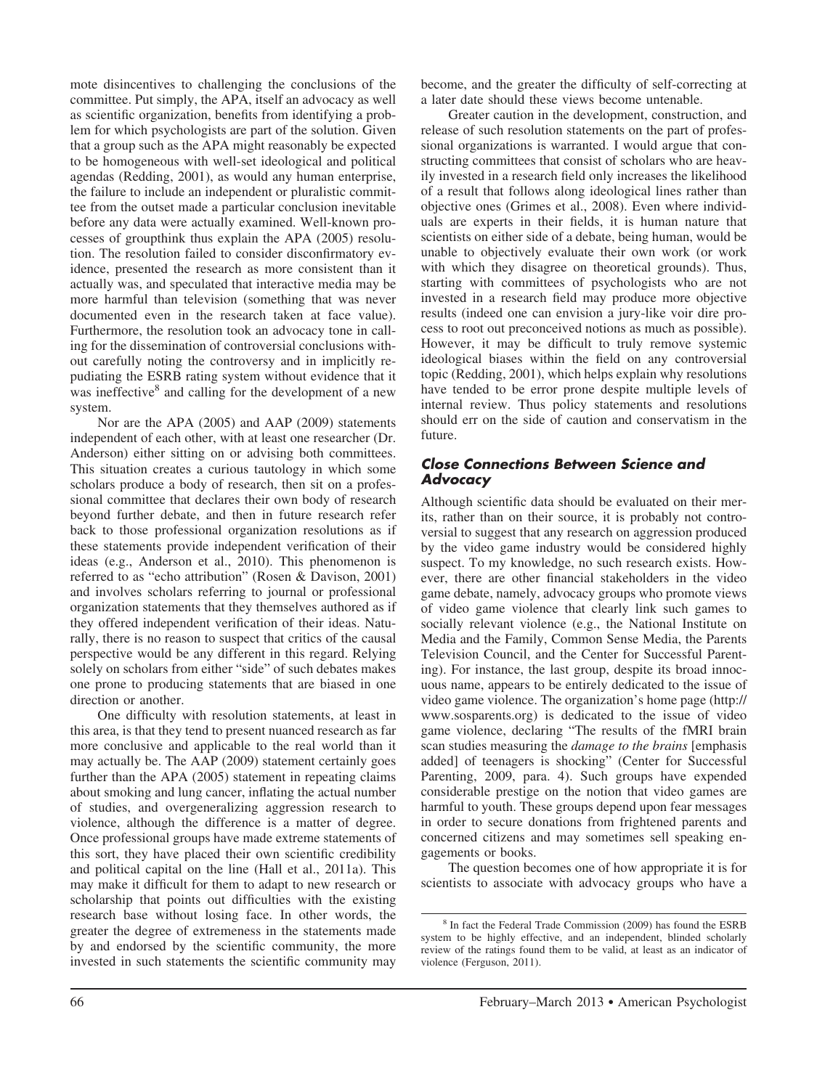mote disincentives to challenging the conclusions of the committee. Put simply, the APA, itself an advocacy as well as scientific organization, benefits from identifying a problem for which psychologists are part of the solution. Given that a group such as the APA might reasonably be expected to be homogeneous with well-set ideological and political agendas [\(Redding, 2001\)](#page-16-30), as would any human enterprise, the failure to include an independent or pluralistic committee from the outset made a particular conclusion inevitable before any data were actually examined. Well-known processes of groupthink thus explain the [APA \(2005\)](#page-14-7) resolution. The resolution failed to consider disconfirmatory evidence, presented the research as more consistent than it actually was, and speculated that interactive media may be more harmful than television (something that was never documented even in the research taken at face value). Furthermore, the resolution took an advocacy tone in calling for the dissemination of controversial conclusions without carefully noting the controversy and in implicitly repudiating the ESRB rating system without evidence that it was ineffective<sup>8</sup> and calling for the development of a new system.

Nor are the [APA \(2005\)](#page-14-7) and [AAP \(2009\)](#page-14-28) statements independent of each other, with at least one researcher (Dr. Anderson) either sitting on or advising both committees. This situation creates a curious tautology in which some scholars produce a body of research, then sit on a professional committee that declares their own body of research beyond further debate, and then in future research refer back to those professional organization resolutions as if these statements provide independent verification of their ideas (e.g., [Anderson et al., 2010\)](#page-14-8). This phenomenon is referred to as "echo attribution" [\(Rosen & Davison, 2001\)](#page-16-31) and involves scholars referring to journal or professional organization statements that they themselves authored as if they offered independent verification of their ideas. Naturally, there is no reason to suspect that critics of the causal perspective would be any different in this regard. Relying solely on scholars from either "side" of such debates makes one prone to producing statements that are biased in one direction or another.

One difficulty with resolution statements, at least in this area, is that they tend to present nuanced research as far more conclusive and applicable to the real world than it may actually be. The [AAP \(2009\)](#page-14-28) statement certainly goes further than the [APA \(2005\)](#page-14-7) statement in repeating claims about smoking and lung cancer, inflating the actual number of studies, and overgeneralizing aggression research to violence, although the difference is a matter of degree. Once professional groups have made extreme statements of this sort, they have placed their own scientific credibility and political capital on the line [\(Hall et al., 2011a\)](#page-15-16). This may make it difficult for them to adapt to new research or scholarship that points out difficulties with the existing research base without losing face. In other words, the greater the degree of extremeness in the statements made by and endorsed by the scientific community, the more invested in such statements the scientific community may

become, and the greater the difficulty of self-correcting at a later date should these views become untenable.

Greater caution in the development, construction, and release of such resolution statements on the part of professional organizations is warranted. I would argue that constructing committees that consist of scholars who are heavily invested in a research field only increases the likelihood of a result that follows along ideological lines rather than objective ones [\(Grimes et al., 2008\)](#page-15-12). Even where individuals are experts in their fields, it is human nature that scientists on either side of a debate, being human, would be unable to objectively evaluate their own work (or work with which they disagree on theoretical grounds). Thus, starting with committees of psychologists who are not invested in a research field may produce more objective results (indeed one can envision a jury-like voir dire process to root out preconceived notions as much as possible). However, it may be difficult to truly remove systemic ideological biases within the field on any controversial topic [\(Redding, 2001\)](#page-16-30), which helps explain why resolutions have tended to be error prone despite multiple levels of internal review. Thus policy statements and resolutions should err on the side of caution and conservatism in the future.

#### *Close Connections Between Science and Advocacy*

Although scientific data should be evaluated on their merits, rather than on their source, it is probably not controversial to suggest that any research on aggression produced by the video game industry would be considered highly suspect. To my knowledge, no such research exists. However, there are other financial stakeholders in the video game debate, namely, advocacy groups who promote views of video game violence that clearly link such games to socially relevant violence (e.g., the National Institute on Media and the Family, Common Sense Media, the Parents Television Council, and the Center for Successful Parenting). For instance, the last group, despite its broad innocuous name, appears to be entirely dedicated to the issue of video game violence. The organization's home page [\(http://](www.sosparents.org) [www.sosparents.org\)](www.sosparents.org) is dedicated to the issue of video game violence, declaring "The results of the fMRI brain scan studies measuring the *damage to the brains* [emphasis added] of teenagers is shocking" [\(Center for Successful](#page-14-30) [Parenting, 2009,](#page-14-30) para. 4). Such groups have expended considerable prestige on the notion that video games are harmful to youth. These groups depend upon fear messages in order to secure donations from frightened parents and concerned citizens and may sometimes sell speaking engagements or books.

The question becomes one of how appropriate it is for scientists to associate with advocacy groups who have a

<sup>8</sup> In fact the [Federal Trade Commission \(2009\)](#page-15-32) has found the ESRB system to be highly effective, and an independent, blinded scholarly review of the ratings found them to be valid, at least as an indicator of violence [\(Ferguson, 2011\)](#page-15-14).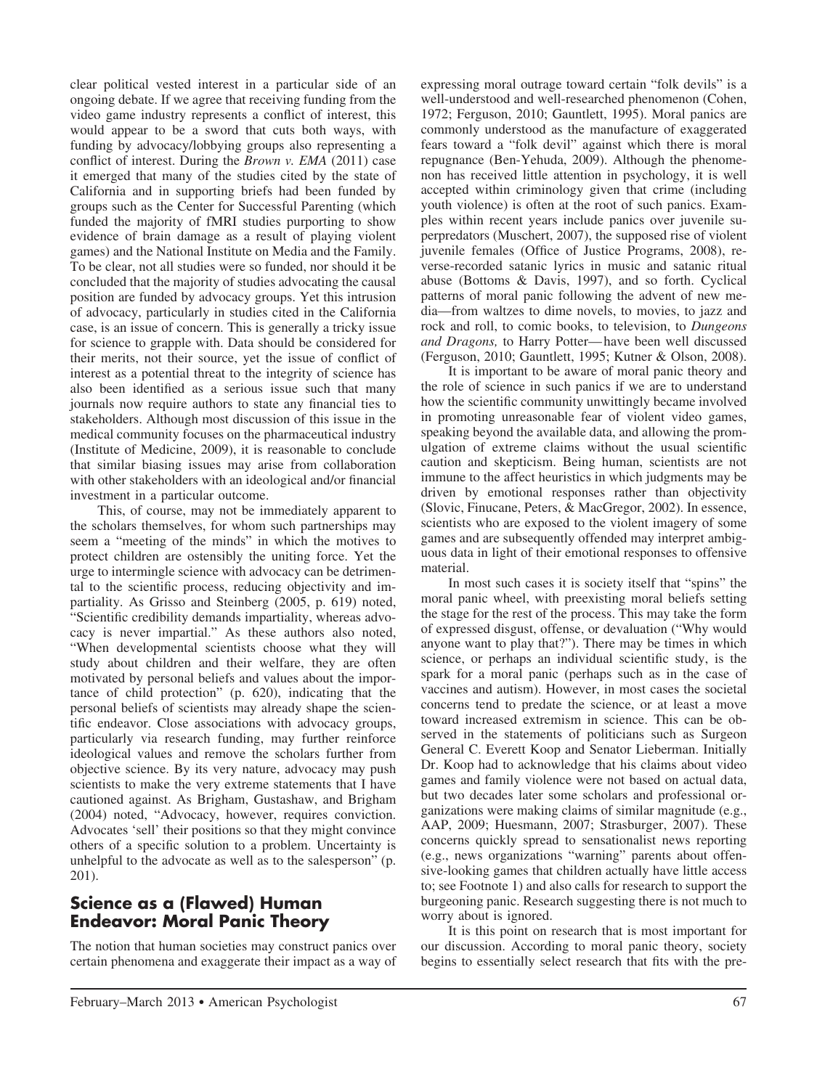clear political vested interest in a particular side of an ongoing debate. If we agree that receiving funding from the video game industry represents a conflict of interest, this would appear to be a sword that cuts both ways, with funding by advocacy/lobbying groups also representing a conflict of interest. During the *[Brown v. EMA](#page-14-0)* (2011) case it emerged that many of the studies cited by the state of California and in supporting briefs had been funded by groups such as the Center for Successful Parenting (which funded the majority of fMRI studies purporting to show evidence of brain damage as a result of playing violent games) and the National Institute on Media and the Family. To be clear, not all studies were so funded, nor should it be concluded that the majority of studies advocating the causal position are funded by advocacy groups. Yet this intrusion of advocacy, particularly in studies cited in the California case, is an issue of concern. This is generally a tricky issue for science to grapple with. Data should be considered for their merits, not their source, yet the issue of conflict of interest as a potential threat to the integrity of science has also been identified as a serious issue such that many journals now require authors to state any financial ties to stakeholders. Although most discussion of this issue in the medical community focuses on the pharmaceutical industry [\(Institute of Medicine, 2009\)](#page-15-33), it is reasonable to conclude that similar biasing issues may arise from collaboration with other stakeholders with an ideological and/or financial investment in a particular outcome.

This, of course, may not be immediately apparent to the scholars themselves, for whom such partnerships may seem a "meeting of the minds" in which the motives to protect children are ostensibly the uniting force. Yet the urge to intermingle science with advocacy can be detrimental to the scientific process, reducing objectivity and impartiality. As [Grisso and Steinberg \(2005,](#page-15-34) p. 619) noted, "Scientific credibility demands impartiality, whereas advocacy is never impartial." As these authors also noted, "When developmental scientists choose what they will study about children and their welfare, they are often motivated by personal beliefs and values about the importance of child protection" (p. 620), indicating that the personal beliefs of scientists may already shape the scientific endeavor. Close associations with advocacy groups, particularly via research funding, may further reinforce ideological values and remove the scholars further from objective science. By its very nature, advocacy may push scientists to make the very extreme statements that I have cautioned against. As [Brigham, Gustashaw, and Brigham](#page-14-31) [\(2004\)](#page-14-31) noted, "Advocacy, however, requires conviction. Advocates 'sell' their positions so that they might convince others of a specific solution to a problem. Uncertainty is unhelpful to the advocate as well as to the salesperson" (p. 201).

## **Science as a (Flawed) Human Endeavor: Moral Panic Theory**

The notion that human societies may construct panics over certain phenomena and exaggerate their impact as a way of

expressing moral outrage toward certain "folk devils" is a well-understood and well-researched phenomenon [\(Cohen,](#page-14-32) [1972;](#page-14-32) [Ferguson, 2010;](#page-15-11) [Gauntlett, 1995\)](#page-15-35). Moral panics are commonly understood as the manufacture of exaggerated fears toward a "folk devil" against which there is moral repugnance [\(Ben-Yehuda, 2009\)](#page-14-33). Although the phenomenon has received little attention in psychology, it is well accepted within criminology given that crime (including youth violence) is often at the root of such panics. Examples within recent years include panics over juvenile superpredators [\(Muschert, 2007\)](#page-16-3), the supposed rise of violent juvenile females [\(Office of Justice Programs, 2008\)](#page-16-32), reverse-recorded satanic lyrics in music and satanic ritual abuse [\(Bottoms & Davis, 1997\)](#page-14-34), and so forth. Cyclical patterns of moral panic following the advent of new media—from waltzes to dime novels, to movies, to jazz and rock and roll, to comic books, to television, to *Dungeons and Dragons,* to Harry Potter—have been well discussed [\(Ferguson, 2010;](#page-15-11) [Gauntlett, 1995;](#page-15-35) [Kutner & Olson, 2008\)](#page-16-8).

It is important to be aware of moral panic theory and the role of science in such panics if we are to understand how the scientific community unwittingly became involved in promoting unreasonable fear of violent video games, speaking beyond the available data, and allowing the promulgation of extreme claims without the usual scientific caution and skepticism. Being human, scientists are not immune to the affect heuristics in which judgments may be driven by emotional responses rather than objectivity [\(Slovic, Finucane, Peters, & MacGregor, 2002\)](#page-16-33). In essence, scientists who are exposed to the violent imagery of some games and are subsequently offended may interpret ambiguous data in light of their emotional responses to offensive material.

In most such cases it is society itself that "spins" the moral panic wheel, with preexisting moral beliefs setting the stage for the rest of the process. This may take the form of expressed disgust, offense, or devaluation ("Why would anyone want to play that?"). There may be times in which science, or perhaps an individual scientific study, is the spark for a moral panic (perhaps such as in the case of vaccines and autism). However, in most cases the societal concerns tend to predate the science, or at least a move toward increased extremism in science. This can be observed in the statements of politicians such as Surgeon General C. Everett Koop and Senator Lieberman. Initially Dr. Koop had to acknowledge that his claims about video games and family violence were not based on actual data, but two decades later some scholars and professional organizations were making claims of similar magnitude (e.g., [AAP, 2009;](#page-14-28) [Huesmann, 2007;](#page-15-5) [Strasburger, 2007\)](#page-16-6). These concerns quickly spread to sensationalist news reporting (e.g., news organizations "warning" parents about offensive-looking games that children actually have little access to; see Footnote 1) and also calls for research to support the burgeoning panic. Research suggesting there is not much to worry about is ignored.

It is this point on research that is most important for our discussion. According to moral panic theory, society begins to essentially select research that fits with the pre-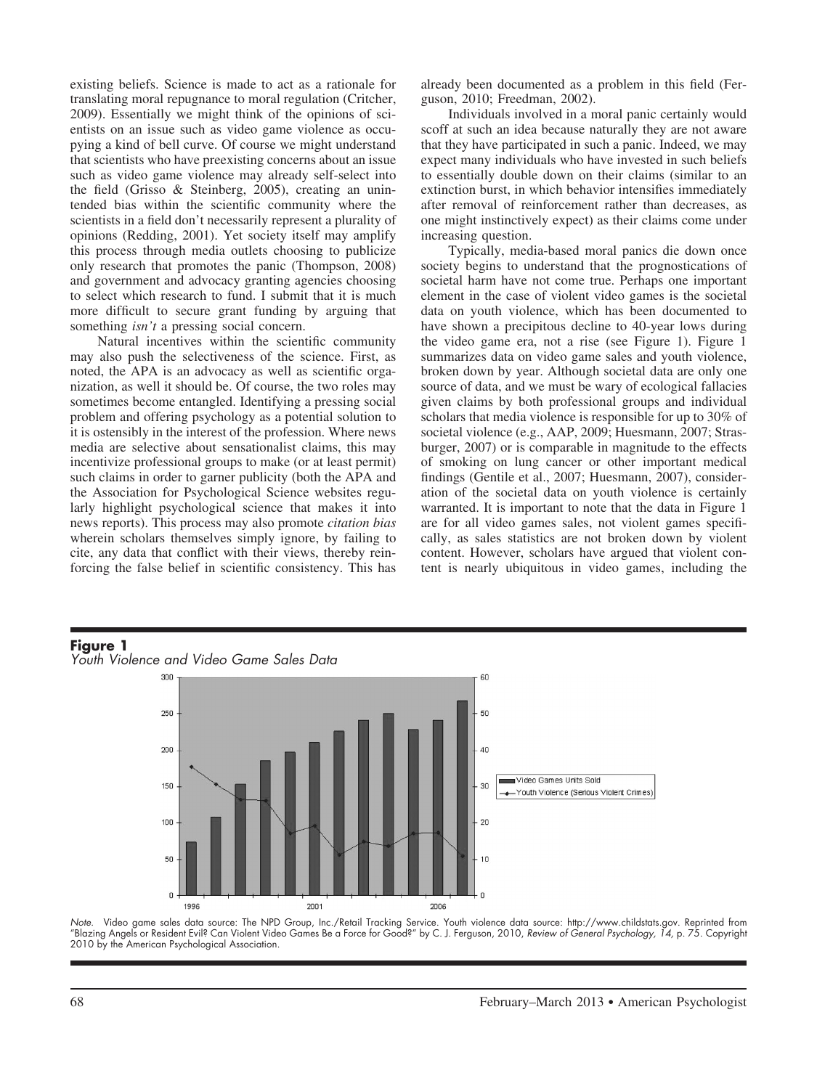existing beliefs. Science is made to act as a rationale for translating moral repugnance to moral regulation [\(Critcher,](#page-15-36) [2009\)](#page-15-36). Essentially we might think of the opinions of scientists on an issue such as video game violence as occupying a kind of bell curve. Of course we might understand that scientists who have preexisting concerns about an issue such as video game violence may already self-select into the field [\(Grisso & Steinberg, 2005\)](#page-15-34), creating an unintended bias within the scientific community where the scientists in a field don't necessarily represent a plurality of opinions [\(Redding, 2001\)](#page-16-30). Yet society itself may amplify this process through media outlets choosing to publicize only research that promotes the panic [\(Thompson, 2008\)](#page-16-34) and government and advocacy granting agencies choosing to select which research to fund. I submit that it is much more difficult to secure grant funding by arguing that something *isn't* a pressing social concern.

Natural incentives within the scientific community may also push the selectiveness of the science. First, as noted, the APA is an advocacy as well as scientific organization, as well it should be. Of course, the two roles may sometimes become entangled. Identifying a pressing social problem and offering psychology as a potential solution to it is ostensibly in the interest of the profession. Where news media are selective about sensationalist claims, this may incentivize professional groups to make (or at least permit) such claims in order to garner publicity (both the APA and the Association for Psychological Science websites regularly highlight psychological science that makes it into news reports). This process may also promote *citation bias* wherein scholars themselves simply ignore, by failing to cite, any data that conflict with their views, thereby reinforcing the false belief in scientific consistency. This has

already been documented as a problem in this field [\(Fer](#page-15-11)[guson, 2010;](#page-15-11) [Freedman, 2002\)](#page-15-7).

Individuals involved in a moral panic certainly would scoff at such an idea because naturally they are not aware that they have participated in such a panic. Indeed, we may expect many individuals who have invested in such beliefs to essentially double down on their claims (similar to an extinction burst, in which behavior intensifies immediately after removal of reinforcement rather than decreases, as one might instinctively expect) as their claims come under increasing question.

Typically, media-based moral panics die down once society begins to understand that the prognostications of societal harm have not come true. Perhaps one important element in the case of violent video games is the societal data on youth violence, which has been documented to have shown a precipitous decline to 40-year lows during the video game era, not a rise (see Figure 1). Figure 1 summarizes data on video game sales and youth violence, broken down by year. Although societal data are only one source of data, and we must be wary of ecological fallacies given claims by both professional groups and individual scholars that media violence is responsible for up to 30% of societal violence (e.g., [AAP, 2009;](#page-14-28) [Huesmann, 2007;](#page-15-5) [Stras](#page-16-6)[burger, 2007\)](#page-16-6) or is comparable in magnitude to the effects of smoking on lung cancer or other important medical findings [\(Gentile et al., 2007;](#page-15-23) [Huesmann, 2007\)](#page-15-5), consideration of the societal data on youth violence is certainly warranted. It is important to note that the data in Figure 1 are for all video games sales, not violent games specifically, as sales statistics are not broken down by violent content. However, scholars have argued that violent content is nearly ubiquitous in video games, including the



*Note.* Video game sales data source: The NPD Group, Inc./Retail Tracking Service. Youth violence data source: [http://www.childstats.gov.](www.childstats.gov) Reprinted from "Blazing Angels or Resident Evil? Can Violent Video Games Be a Force for Good?" by C. J. Ferguson, 2010, *Review of General Psychology, 14,* p. 75. Copyright 2010 by the American Psychological Association.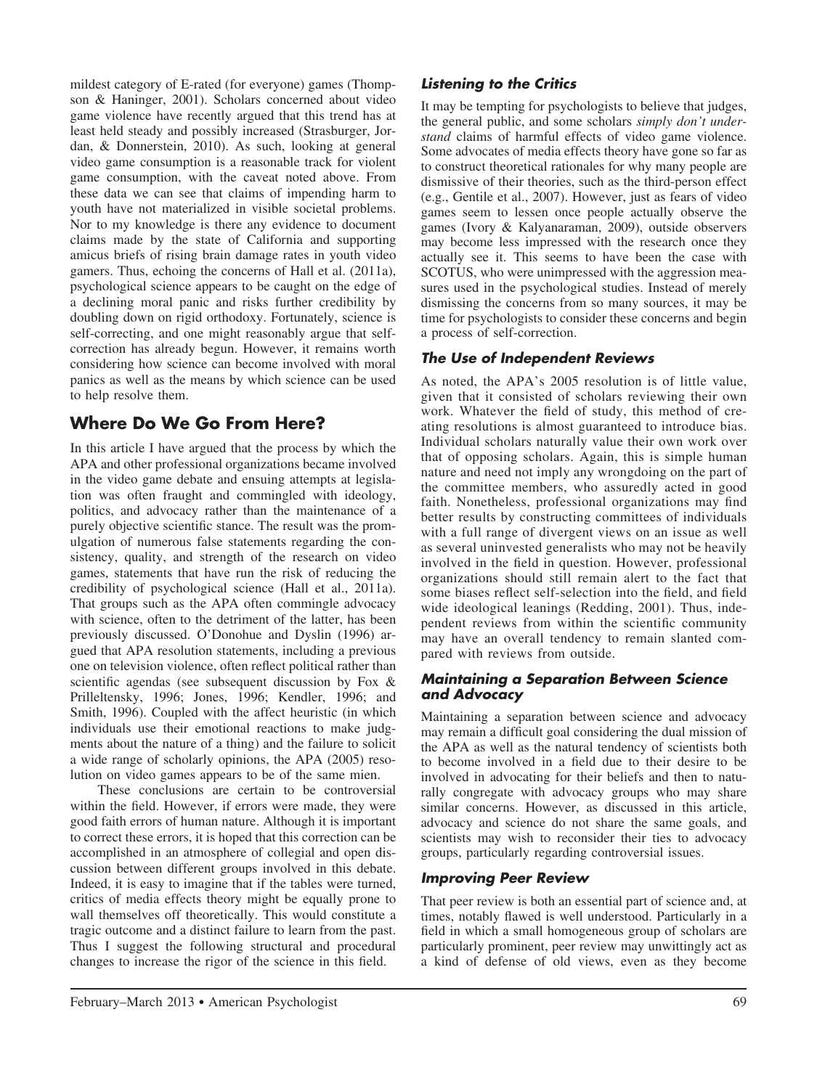mildest category of E-rated (for everyone) games [\(Thomp](#page-16-35)[son & Haninger, 2001\)](#page-16-35). Scholars concerned about video game violence have recently argued that this trend has at least held steady and possibly increased [\(Strasburger, Jor](#page-16-36)[dan, & Donnerstein, 2010\)](#page-16-36). As such, looking at general video game consumption is a reasonable track for violent game consumption, with the caveat noted above. From these data we can see that claims of impending harm to youth have not materialized in visible societal problems. Nor to my knowledge is there any evidence to document claims made by the state of California and supporting amicus briefs of rising brain damage rates in youth video gamers. Thus, echoing the concerns of [Hall et al. \(2011a\),](#page-15-16) psychological science appears to be caught on the edge of a declining moral panic and risks further credibility by doubling down on rigid orthodoxy. Fortunately, science is self-correcting, and one might reasonably argue that selfcorrection has already begun. However, it remains worth considering how science can become involved with moral panics as well as the means by which science can be used to help resolve them.

## **Where Do We Go From Here?**

In this article I have argued that the process by which the APA and other professional organizations became involved in the video game debate and ensuing attempts at legislation was often fraught and commingled with ideology, politics, and advocacy rather than the maintenance of a purely objective scientific stance. The result was the promulgation of numerous false statements regarding the consistency, quality, and strength of the research on video games, statements that have run the risk of reducing the credibility of psychological science [\(Hall et al., 2011a\)](#page-15-16). That groups such as the APA often commingle advocacy with science, often to the detriment of the latter, has been previously discussed. [O'Donohue and Dyslin \(1996\)](#page-16-37) argued that APA resolution statements, including a previous one on television violence, often reflect political rather than scientific agendas (see subsequent discussion by [Fox &](#page-15-37) [Prilleltensky, 1996;](#page-15-37) [Jones, 1996;](#page-15-38) [Kendler, 1996;](#page-15-39) and [Smith, 1996\)](#page-16-38). Coupled with the affect heuristic (in which individuals use their emotional reactions to make judgments about the nature of a thing) and the failure to solicit a wide range of scholarly opinions, the [APA \(2005\)](#page-14-7) resolution on video games appears to be of the same mien.

These conclusions are certain to be controversial within the field. However, if errors were made, they were good faith errors of human nature. Although it is important to correct these errors, it is hoped that this correction can be accomplished in an atmosphere of collegial and open discussion between different groups involved in this debate. Indeed, it is easy to imagine that if the tables were turned, critics of media effects theory might be equally prone to wall themselves off theoretically. This would constitute a tragic outcome and a distinct failure to learn from the past. Thus I suggest the following structural and procedural changes to increase the rigor of the science in this field.

## *Listening to the Critics*

It may be tempting for psychologists to believe that judges, the general public, and some scholars *simply don't understand* claims of harmful effects of video game violence. Some advocates of media effects theory have gone so far as to construct theoretical rationales for why many people are dismissive of their theories, such as the third-person effect (e.g., [Gentile et al., 2007\)](#page-15-23). However, just as fears of video games seem to lessen once people actually observe the games [\(Ivory & Kalyanaraman, 2009\)](#page-15-40), outside observers may become less impressed with the research once they actually see it. This seems to have been the case with SCOTUS, who were unimpressed with the aggression measures used in the psychological studies. Instead of merely dismissing the concerns from so many sources, it may be time for psychologists to consider these concerns and begin a process of self-correction.

## *The Use of Independent Reviews*

As noted, the [APA's 2005](#page-14-7) resolution is of little value, given that it consisted of scholars reviewing their own work. Whatever the field of study, this method of creating resolutions is almost guaranteed to introduce bias. Individual scholars naturally value their own work over that of opposing scholars. Again, this is simple human nature and need not imply any wrongdoing on the part of the committee members, who assuredly acted in good faith. Nonetheless, professional organizations may find better results by constructing committees of individuals with a full range of divergent views on an issue as well as several uninvested generalists who may not be heavily involved in the field in question. However, professional organizations should still remain alert to the fact that some biases reflect self-selection into the field, and field wide ideological leanings [\(Redding, 2001\)](#page-16-30). Thus, independent reviews from within the scientific community may have an overall tendency to remain slanted compared with reviews from outside.

#### *Maintaining a Separation Between Science and Advocacy*

Maintaining a separation between science and advocacy may remain a difficult goal considering the dual mission of the APA as well as the natural tendency of scientists both to become involved in a field due to their desire to be involved in advocating for their beliefs and then to naturally congregate with advocacy groups who may share similar concerns. However, as discussed in this article, advocacy and science do not share the same goals, and scientists may wish to reconsider their ties to advocacy groups, particularly regarding controversial issues.

### *Improving Peer Review*

That peer review is both an essential part of science and, at times, notably flawed is well understood. Particularly in a field in which a small homogeneous group of scholars are particularly prominent, peer review may unwittingly act as a kind of defense of old views, even as they become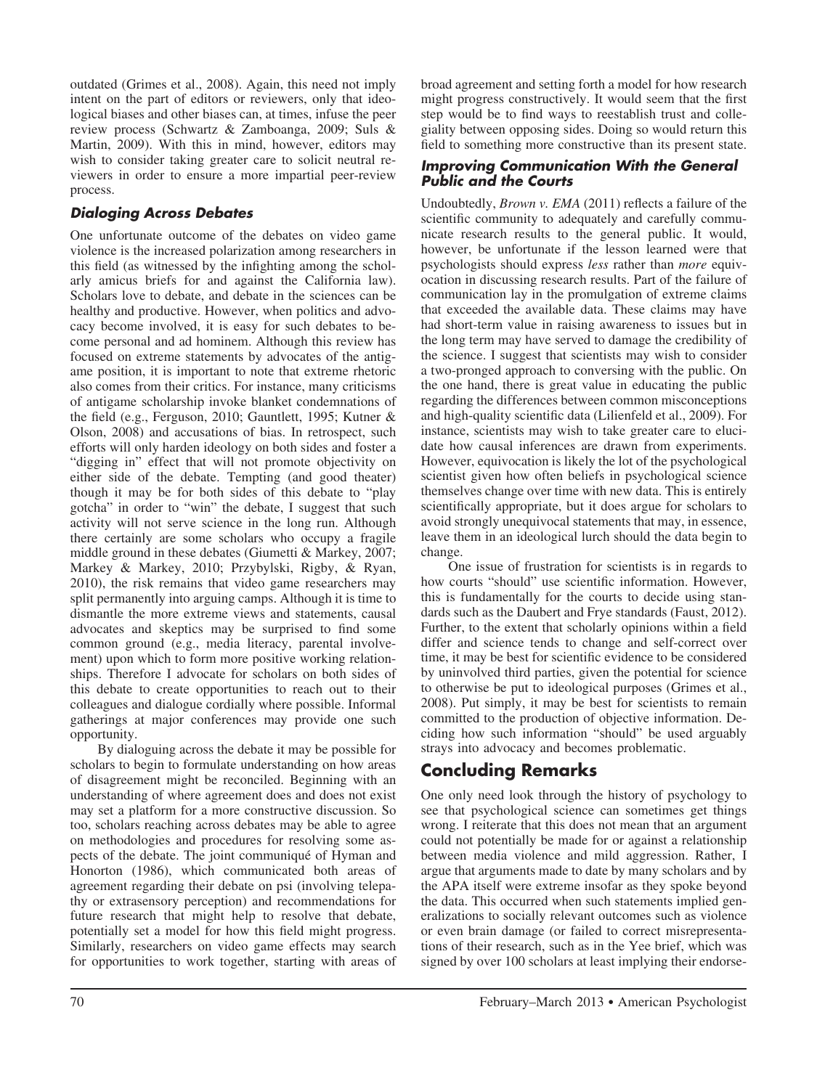outdated [\(Grimes et al., 2008\)](#page-15-12). Again, this need not imply intent on the part of editors or reviewers, only that ideological biases and other biases can, at times, infuse the peer review process [\(Schwartz & Zamboanga, 2009;](#page-16-39) [Suls &](#page-16-40) [Martin, 2009\)](#page-16-40). With this in mind, however, editors may wish to consider taking greater care to solicit neutral reviewers in order to ensure a more impartial peer-review process.

### *Dialoging Across Debates*

One unfortunate outcome of the debates on video game violence is the increased polarization among researchers in this field (as witnessed by the infighting among the scholarly amicus briefs for and against the California law). Scholars love to debate, and debate in the sciences can be healthy and productive. However, when politics and advocacy become involved, it is easy for such debates to become personal and ad hominem. Although this review has focused on extreme statements by advocates of the antigame position, it is important to note that extreme rhetoric also comes from their critics. For instance, many criticisms of antigame scholarship invoke blanket condemnations of the field (e.g., [Ferguson, 2010;](#page-15-11) [Gauntlett, 1995;](#page-15-35) [Kutner &](#page-16-8) [Olson, 2008\)](#page-16-8) and accusations of bias. In retrospect, such efforts will only harden ideology on both sides and foster a "digging in" effect that will not promote objectivity on either side of the debate. Tempting (and good theater) though it may be for both sides of this debate to "play gotcha" in order to "win" the debate, I suggest that such activity will not serve science in the long run. Although there certainly are some scholars who occupy a fragile middle ground in these debates [\(Giumetti & Markey, 2007;](#page-15-41) [Markey & Markey, 2010;](#page-16-41) [Przybylski, Rigby, & Ryan,](#page-16-42) [2010\)](#page-16-42), the risk remains that video game researchers may split permanently into arguing camps. Although it is time to dismantle the more extreme views and statements, causal advocates and skeptics may be surprised to find some common ground (e.g., media literacy, parental involvement) upon which to form more positive working relationships. Therefore I advocate for scholars on both sides of this debate to create opportunities to reach out to their colleagues and dialogue cordially where possible. Informal gatherings at major conferences may provide one such opportunity.

By dialoguing across the debate it may be possible for scholars to begin to formulate understanding on how areas of disagreement might be reconciled. Beginning with an understanding of where agreement does and does not exist may set a platform for a more constructive discussion. So too, scholars reaching across debates may be able to agree on methodologies and procedures for resolving some aspects of the debate. The joint communiqué of [Hyman and](#page-15-42) [Honorton \(1986\),](#page-15-42) which communicated both areas of agreement regarding their debate on psi (involving telepathy or extrasensory perception) and recommendations for future research that might help to resolve that debate, potentially set a model for how this field might progress. Similarly, researchers on video game effects may search for opportunities to work together, starting with areas of broad agreement and setting forth a model for how research might progress constructively. It would seem that the first step would be to find ways to reestablish trust and collegiality between opposing sides. Doing so would return this field to something more constructive than its present state.

#### *Improving Communication With the General Public and the Courts*

Undoubtedly, *[Brown v. EMA](#page-14-0)* (2011) reflects a failure of the scientific community to adequately and carefully communicate research results to the general public. It would, however, be unfortunate if the lesson learned were that psychologists should express *less* rather than *more* equivocation in discussing research results. Part of the failure of communication lay in the promulgation of extreme claims that exceeded the available data. These claims may have had short-term value in raising awareness to issues but in the long term may have served to damage the credibility of the science. I suggest that scientists may wish to consider a two-pronged approach to conversing with the public. On the one hand, there is great value in educating the public regarding the differences between common misconceptions and high-quality scientific data [\(Lilienfeld et al., 2009\)](#page-16-25). For instance, scientists may wish to take greater care to elucidate how causal inferences are drawn from experiments. However, equivocation is likely the lot of the psychological scientist given how often beliefs in psychological science themselves change over time with new data. This is entirely scientifically appropriate, but it does argue for scholars to avoid strongly unequivocal statements that may, in essence, leave them in an ideological lurch should the data begin to change.

One issue of frustration for scientists is in regards to how courts "should" use scientific information. However, this is fundamentally for the courts to decide using standards such as the Daubert and Frye standards [\(Faust, 2012\)](#page-15-43). Further, to the extent that scholarly opinions within a field differ and science tends to change and self-correct over time, it may be best for scientific evidence to be considered by uninvolved third parties, given the potential for science to otherwise be put to ideological purposes [\(Grimes et al.,](#page-15-12) [2008\)](#page-15-12). Put simply, it may be best for scientists to remain committed to the production of objective information. Deciding how such information "should" be used arguably strays into advocacy and becomes problematic.

## **Concluding Remarks**

One only need look through the history of psychology to see that psychological science can sometimes get things wrong. I reiterate that this does not mean that an argument could not potentially be made for or against a relationship between media violence and mild aggression. Rather, I argue that arguments made to date by many scholars and by the APA itself were extreme insofar as they spoke beyond the data. This occurred when such statements implied generalizations to socially relevant outcomes such as violence or even brain damage (or failed to correct misrepresentations of their research, such as in the Yee brief, which was signed by over 100 scholars at least implying their endorse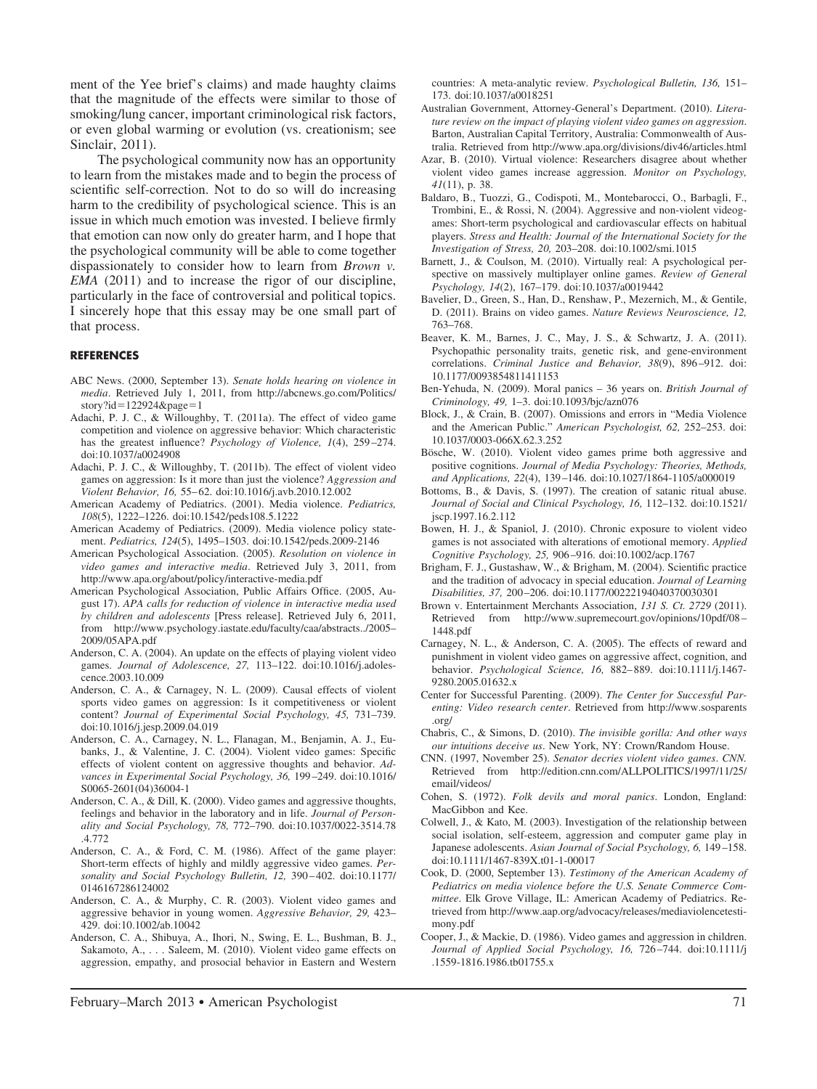ment of the Yee brief's claims) and made haughty claims that the magnitude of the effects were similar to those of smoking/lung cancer, important criminological risk factors, or even global warming or evolution (vs. creationism; see [Sinclair, 2011\)](#page-16-43).

The psychological community now has an opportunity to learn from the mistakes made and to begin the process of scientific self-correction. Not to do so will do increasing harm to the credibility of psychological science. This is an issue in which much emotion was invested. I believe firmly that emotion can now only do greater harm, and I hope that the psychological community will be able to come together dispassionately to consider how to learn from *[Brown v.](#page-14-0) EMA* [\(2011\)](#page-14-0) and to increase the rigor of our discipline, particularly in the face of controversial and political topics. I sincerely hope that this essay may be one small part of that process.

#### **REFERENCES**

- <span id="page-14-4"></span>ABC News. (2000, September 13). *Senate holds hearing on violence in media*. Retrieved July 1, 2011, from [http://abcnews.go.com/Politics/](abcnews.go.com/Politics/story?id=122924%26amp%3Bpage=1) story?id=[122924&page](abcnews.go.com/Politics/story?id=122924%26amp%3Bpage=1)=1
- <span id="page-14-12"></span>Adachi, P. J. C., & Willoughby, T. (2011a). The effect of video game competition and violence on aggressive behavior: Which characteristic has the greatest influence? *Psychology of Violence, 1*(4), 259–274. [doi:10.1037/a0024908](http://dx.doi.org/10.1037/a0024908)
- <span id="page-14-11"></span>Adachi, P. J. C., & Willoughby, T. (2011b). The effect of violent video games on aggression: Is it more than just the violence? *Aggression and Violent Behavior, 16,* 55–62. [doi:10.1016/j.avb.2010.12.002](http://dx.doi.org/10.1016/j.avb.2010.12.002)
- <span id="page-14-27"></span>American Academy of Pediatrics. (2001). Media violence. *Pediatrics, 108*(5), 1222–1226. [doi:10.1542/peds108.5.1222](http://dx.doi.org/10.1542/peds108.5.1222)
- <span id="page-14-28"></span>American Academy of Pediatrics. (2009). Media violence policy statement. *Pediatrics, 124*(5), 1495–1503. [doi:10.1542/peds.2009-2146](http://dx.doi.org/10.1542/peds.2009-2146)
- <span id="page-14-7"></span>American Psychological Association. (2005). *Resolution on violence in video games and interactive media*. Retrieved July 3, 2011, from [http://www.apa.org/about/policy/interactive-media.pdf](www.apa.org/about/policy/interactive-media.pdf)
- <span id="page-14-29"></span>American Psychological Association, Public Affairs Office. (2005, August 17). *APA calls for reduction of violence in interactive media used by children and adolescents* [Press release]. Retrieved July 6, 2011, from [http://www.psychology.iastate.edu/faculty/caa/abstracts../2005–](www.psychology.iastate.edu/faculty/caa/abstracts../2005-2009/05APA.pdf) [2009/05APA.pdf](www.psychology.iastate.edu/faculty/caa/abstracts../2005-2009/05APA.pdf)
- <span id="page-14-5"></span>Anderson, C. A. (2004). An update on the effects of playing violent video games. *Journal of Adolescence, 27,* 113–122. [doi:10.1016/j.adoles](http://dx.doi.org/10.1016/j.adolescence.2003.10.009)[cence.2003.10.009](http://dx.doi.org/10.1016/j.adolescence.2003.10.009)
- <span id="page-14-25"></span>Anderson, C. A., & Carnagey, N. L. (2009). Causal effects of violent sports video games on aggression: Is it competitiveness or violent content? *Journal of Experimental Social Psychology, 45,* 731–739. [doi:10.1016/j.jesp.2009.04.019](http://dx.doi.org/10.1016/j.jesp.2009.04.019)
- <span id="page-14-23"></span>Anderson, C. A., Carnagey, N. L., Flanagan, M., Benjamin, A. J., Eubanks, J., & Valentine, J. C. (2004). Violent video games: Specific effects of violent content on aggressive thoughts and behavior. *Advances in Experimental Social Psychology, 36,* 199–249. [doi:10.1016/](http://dx.doi.org/10.1016/S0065-2601%2804%2936004-1) [S0065-2601\(04\)36004-1](http://dx.doi.org/10.1016/S0065-2601%2804%2936004-1)
- <span id="page-14-21"></span>Anderson, C. A., & Dill, K. (2000). Video games and aggressive thoughts, feelings and behavior in the laboratory and in life. *Journal of Personality and Social Psychology, 78,* 772–790. [doi:10.1037/0022-3514.78](http://dx.doi.org/10.1037/0022-3514.78.4.772) [.4.772](http://dx.doi.org/10.1037/0022-3514.78.4.772)
- <span id="page-14-2"></span>Anderson, C. A., & Ford, C. M. (1986). Affect of the game player: Short-term effects of highly and mildly aggressive video games. *Personality and Social Psychology Bulletin, 12,* 390–402. [doi:10.1177/](http://dx.doi.org/10.1177/0146167286124002) [0146167286124002](http://dx.doi.org/10.1177/0146167286124002)
- <span id="page-14-22"></span>Anderson, C. A., & Murphy, C. R. (2003). Violent video games and aggressive behavior in young women. *Aggressive Behavior, 29,* 423– 429. [doi:10.1002/ab.10042](http://dx.doi.org/10.1002/ab.10042)
- <span id="page-14-8"></span>Anderson, C. A., Shibuya, A., Ihori, N., Swing, E. L., Bushman, B. J., Sakamoto, A.,... Saleem, M. (2010). Violent video game effects on aggression, empathy, and prosocial behavior in Eastern and Western

countries: A meta-analytic review. *Psychological Bulletin, 136,* 151– 173. [doi:10.1037/a0018251](http://dx.doi.org/10.1037/a0018251)

- <span id="page-14-16"></span>Australian Government, Attorney-General's Department. (2010). *Literature review on the impact of playing violent video games on aggression*. Barton, Australian Capital Territory, Australia: Commonwealth of Australia. Retrieved from [http://www.apa.org/divisions/div46/articles.html](www.apa.org/divisions/div46/articles.html)
- <span id="page-14-17"></span>Azar, B. (2010). Virtual violence: Researchers disagree about whether violent video games increase aggression. *Monitor on Psychology, 41*(11), p. 38.
- <span id="page-14-10"></span>Baldaro, B., Tuozzi, G., Codispoti, M., Montebarocci, O., Barbagli, F., Trombini, E., & Rossi, N. (2004). Aggressive and non-violent videogames: Short-term psychological and cardiovascular effects on habitual players. *Stress and Health: Journal of the International Society for the Investigation of Stress, 20,* 203–208. [doi:10.1002/smi.1015](http://dx.doi.org/10.1002/smi.1015)
- <span id="page-14-15"></span>Barnett, J., & Coulson, M. (2010). Virtually real: A psychological perspective on massively multiplayer online games. *Review of General Psychology, 14*(2), 167–179. [doi:10.1037/a0019442](http://dx.doi.org/10.1037/a0019442)
- <span id="page-14-20"></span>Bavelier, D., Green, S., Han, D., Renshaw, P., Mezernich, M., & Gentile, D. (2011). Brains on video games. *Nature Reviews Neuroscience, 12,* 763–768.
- <span id="page-14-19"></span>Beaver, K. M., Barnes, J. C., May, J. S., & Schwartz, J. A. (2011). Psychopathic personality traits, genetic risk, and gene-environment correlations. *Criminal Justice and Behavior, 38*(9), 896–912. [doi:](http://dx.doi.org/10.1177/0093854811411153) [10.1177/0093854811411153](http://dx.doi.org/10.1177/0093854811411153)
- <span id="page-14-33"></span>Ben-Yehuda, N. (2009). Moral panics – 36 years on. *British Journal of Criminology, 49,* 1–3. [doi:10.1093/bjc/azn076](http://dx.doi.org/10.1093/bjc/azn076)
- <span id="page-14-26"></span>Block, J., & Crain, B. (2007). Omissions and errors in "Media Violence and the American Public." *American Psychologist, 62,* 252–253. [doi:](http://dx.doi.org/10.1037/0003-066X.62.3.252) [10.1037/0003-066X.62.3.252](http://dx.doi.org/10.1037/0003-066X.62.3.252)
- <span id="page-14-13"></span>Bösche, W. (2010). Violent video games prime both aggressive and positive cognitions. *Journal of Media Psychology: Theories, Methods, and Applications, 22*(4), 139–146. [doi:10.1027/1864-1105/a000019](http://dx.doi.org/10.1027/1864-1105/a000019)
- <span id="page-14-34"></span>Bottoms, B., & Davis, S. (1997). The creation of satanic ritual abuse. *Journal of Social and Clinical Psychology, 16,* 112–132. [doi:10.1521/](http://dx.doi.org/10.1521/jscp.1997.16.2.112) [jscp.1997.16.2.112](http://dx.doi.org/10.1521/jscp.1997.16.2.112)
- <span id="page-14-14"></span>Bowen, H. J., & Spaniol, J. (2010). Chronic exposure to violent video games is not associated with alterations of emotional memory. *Applied Cognitive Psychology, 25,* 906–916. [doi:10.1002/acp.1767](http://dx.doi.org/10.1002/acp.1767)
- <span id="page-14-31"></span>Brigham, F. J., Gustashaw, W., & Brigham, M. (2004). Scientific practice and the tradition of advocacy in special education. *Journal of Learning Disabilities, 37,* 200–206. [doi:10.1177/00222194040370030301](http://dx.doi.org/10.1177/00222194040370030301)
- <span id="page-14-0"></span>Brown v. Entertainment Merchants Association, *131 S. Ct. 2729* (2011). Retrieved from [http://www.supremecourt.gov/opinions/10pdf/08–](www.supremecourt.gov/opinions/10pdf/08-1448.pdf) [1448.pdf](www.supremecourt.gov/opinions/10pdf/08-1448.pdf)
- <span id="page-14-24"></span>Carnagey, N. L., & Anderson, C. A. (2005). The effects of reward and punishment in violent video games on aggressive affect, cognition, and behavior. *Psychological Science, 16,* 882–889. [doi:10.1111/j.1467-](http://dx.doi.org/10.1111/j.1467-9280.2005.01632.x) [9280.2005.01632.x](http://dx.doi.org/10.1111/j.1467-9280.2005.01632.x)
- <span id="page-14-30"></span>Center for Successful Parenting. (2009). *The Center for Successful Parenting: Video research center*. Retrieved from [http://www.sosparents](www.sosparents.org/) [.org/](www.sosparents.org/)
- <span id="page-14-18"></span>Chabris, C., & Simons, D. (2010). *The invisible gorilla: And other ways our intuitions deceive us*. New York, NY: Crown/Random House.
- <span id="page-14-3"></span>CNN. (1997, November 25). *Senator decries violent video games*. *CNN.* Retrieved from [http://edition.cnn.com/ALLPOLITICS/1997/11/25/](edition.cnn.com/ALLPOLITICS/1997/11/25/email/videos/) [email/videos/](edition.cnn.com/ALLPOLITICS/1997/11/25/email/videos/)
- <span id="page-14-32"></span>Cohen, S. (1972). *Folk devils and moral panics*. London, England: MacGibbon and Kee.
- <span id="page-14-9"></span>Colwell, J., & Kato, M. (2003). Investigation of the relationship between social isolation, self-esteem, aggression and computer game play in Japanese adolescents. *Asian Journal of Social Psychology, 6,* 149–158. [doi:10.1111/1467-839X.t01-1-00017](http://dx.doi.org/10.1111/1467-839X.t01-1-00017)
- <span id="page-14-6"></span>Cook, D. (2000, September 13). *Testimony of the American Academy of Pediatrics on media violence before the U.S. Senate Commerce Committee*. Elk Grove Village, IL: American Academy of Pediatrics. Retrieved from [http://www.aap.org/advocacy/releases/mediaviolencetesti](www.aap.org/advocacy/releases/mediaviolencetestimony.pdf)[mony.pdf](www.aap.org/advocacy/releases/mediaviolencetestimony.pdf)
- <span id="page-14-1"></span>Cooper, J., & Mackie, D. (1986). Video games and aggression in children. *Journal of Applied Social Psychology, 16,* 726–744. [doi:10.1111/j](http://dx.doi.org/10.1111/j.1559-1816.1986.tb01755.x) [.1559-1816.1986.tb01755.x](http://dx.doi.org/10.1111/j.1559-1816.1986.tb01755.x)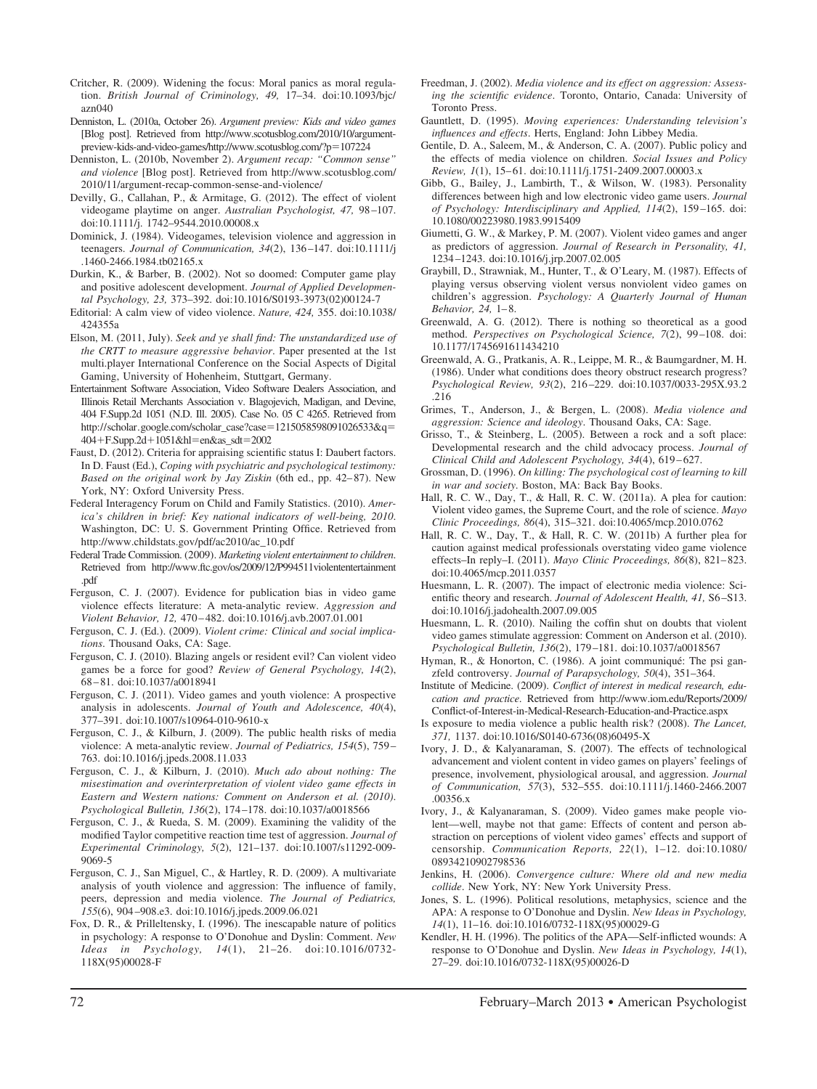<span id="page-15-36"></span>Critcher, R. (2009). Widening the focus: Moral panics as moral regulation. *British Journal of Criminology, 49,* 17–34. [doi:10.1093/bjc/](http://dx.doi.org/10.1093/bjc/azn040) [azn040](http://dx.doi.org/10.1093/bjc/azn040)

- <span id="page-15-9"></span>Denniston, L. (2010a, October 26). *Argument preview: Kids and video games* [Blog post]. Retrieved from [http://www.scotusblog.com/2010/10/argument](www.scotusblog.com/2010/10/argument-preview-kids-and-video-games/http://www.scotusblog.com/?p=107224)[preview-kids-and-video-games/http://www.scotusblog.com/?p](www.scotusblog.com/2010/10/argument-preview-kids-and-video-games/http://www.scotusblog.com/?p=107224)=107224
- <span id="page-15-21"></span>Denniston, L. (2010b, November 2). *Argument recap: "Common sense" and violence* [Blog post]. Retrieved from [http://www.scotusblog.com/](www.scotusblog.com/2010/11/argument-recap-common-sense-and-violence/) [2010/11/argument-recap-common-sense-and-violence/](www.scotusblog.com/2010/11/argument-recap-common-sense-and-violence/)
- <span id="page-15-13"></span>Devilly, G., Callahan, P., & Armitage, G. (2012). The effect of violent videogame playtime on anger. *Australian Psychologist, 47,* 98–107. [doi:10.1111/j. 1742–9544.2010.00008.x](http://dx.doi.org/10.1111/j.%201742-9544.2010.00008.x)
- <span id="page-15-3"></span>Dominick, J. (1984). Videogames, television violence and aggression in teenagers. *Journal of Communication, 34*(2), 136–147. [doi:10.1111/j](http://dx.doi.org/10.1111/j.1460-2466.1984.tb02165.x) [.1460-2466.1984.tb02165.x](http://dx.doi.org/10.1111/j.1460-2466.1984.tb02165.x)
- <span id="page-15-10"></span>Durkin, K., & Barber, B. (2002). Not so doomed: Computer game play and positive adolescent development. *Journal of Applied Developmental Psychology, 23,* 373–392. [doi:10.1016/S0193-3973\(02\)00124-7](http://dx.doi.org/10.1016/S0193-3973%2802%2900124-7)
- <span id="page-15-18"></span>Editorial: A calm view of video violence. *Nature, 424,* 355. [doi:10.1038/](http://dx.doi.org/10.1038/424355a) [424355a](http://dx.doi.org/10.1038/424355a)
- <span id="page-15-26"></span>Elson, M. (2011, July). *Seek and ye shall find: The unstandardized use of the CRTT to measure aggressive behavior*. Paper presented at the 1st multi.player International Conference on the Social Aspects of Digital Gaming, University of Hohenheim, Stuttgart, Germany.
- <span id="page-15-8"></span>Entertainment Software Association, Video Software Dealers Association, and Illinois Retail Merchants Association v. Blagojevich, Madigan, and Devine, 404 F.Supp.2d 1051 (N.D. Ill. 2005). Case No. 05 C 4265. Retrieved from [http://scholar.google.com/scholar\\_case?case](scholar.google.com/scholar_case?case=1215058598091026533%26amp%3Bq=404+F.Supp.2d+1051%26amp%3Bhl=en%26amp%3Bas_sdt=2002)=1215058598091026533&q= 404+F.Supp.2d+1051&hl=[en&as\\_sdt](scholar.google.com/scholar_case?case=1215058598091026533%26amp%3Bq=404+F.Supp.2d+1051%26amp%3Bhl=en%26amp%3Bas_sdt=2002)=2002
- <span id="page-15-43"></span>Faust, D. (2012). Criteria for appraising scientific status I: Daubert factors. In D. Faust (Ed.), *Coping with psychiatric and psychological testimony: Based on the original work by Jay Ziskin* (6th ed., pp. 42–87). New York, NY: Oxford University Press.
- <span id="page-15-1"></span>Federal Interagency Forum on Child and Family Statistics. (2010). *America's children in brief: Key national indicators of well-being, 2010*. Washington, DC: U. S. Government Printing Office. Retrieved from [http://www.childstats.gov/pdf/ac2010/ac\\_10.pdf](www.childstats.gov/pdf/ac2010/ac_10.pdf)
- <span id="page-15-32"></span>Federal Trade Commission. (2009). *Marketing violent entertainment to children*. Retrieved from [http://www.ftc.gov/os/2009/12/P994511violententertainment](www.ftc.gov/os/2009/12/P994511violententertainment.pdf) [.pdf](www.ftc.gov/os/2009/12/P994511violententertainment.pdf)
- <span id="page-15-19"></span>Ferguson, C. J. (2007). Evidence for publication bias in video game violence effects literature: A meta-analytic review. *Aggression and Violent Behavior, 12,* 470–482. [doi:10.1016/j.avb.2007.01.001](http://dx.doi.org/10.1016/j.avb.2007.01.001)
- <span id="page-15-29"></span>Ferguson, C. J. (Ed.). (2009). *Violent crime: Clinical and social implications*. Thousand Oaks, CA: Sage.
- <span id="page-15-11"></span>Ferguson, C. J. (2010). Blazing angels or resident evil? Can violent video games be a force for good? *Review of General Psychology, 14*(2), 68–81. [doi:10.1037/a0018941](http://dx.doi.org/10.1037/a0018941)
- <span id="page-15-14"></span>Ferguson, C. J. (2011). Video games and youth violence: A prospective analysis in adolescents. *Journal of Youth and Adolescence, 40*(4), 377–391. [doi:10.1007/s10964-010-9610-x](http://dx.doi.org/10.1007/s10964-010-9610-x)
- <span id="page-15-20"></span>Ferguson, C. J., & Kilburn, J. (2009). The public health risks of media violence: A meta-analytic review. *Journal of Pediatrics, 154*(5), 759– 763. [doi:10.1016/j.jpeds.2008.11.033](http://dx.doi.org/10.1016/j.jpeds.2008.11.033)
- <span id="page-15-28"></span>Ferguson, C. J., & Kilburn, J. (2010). *Much ado about nothing: The misestimation and overinterpretation of violent video game effects in Eastern and Western nations: Comment on Anderson et al. (2010)*. *Psychological Bulletin, 136*(2), 174–178. [doi:10.1037/a0018566](http://dx.doi.org/10.1037/a0018566)
- <span id="page-15-27"></span>Ferguson, C. J., & Rueda, S. M. (2009). Examining the validity of the modified Taylor competitive reaction time test of aggression. *Journal of Experimental Criminology, 5*(2), 121–137. [doi:10.1007/s11292-009-](http://dx.doi.org/10.1007/s11292-009-9069-5) [9069-5](http://dx.doi.org/10.1007/s11292-009-9069-5)
- <span id="page-15-6"></span>Ferguson, C. J., San Miguel, C., & Hartley, R. D. (2009). A multivariate analysis of youth violence and aggression: The influence of family, peers, depression and media violence. *The Journal of Pediatrics, 155*(6), 904–908.e3. [doi:10.1016/j.jpeds.2009.06.021](http://dx.doi.org/10.1016/j.jpeds.2009.06.021)
- <span id="page-15-37"></span>Fox, D. R., & Prilleltensky, I. (1996). The inescapable nature of politics in psychology: A response to O'Donohue and Dyslin: Comment. *New Ideas in Psychology, 14*(1), 21–26. [doi:10.1016/0732-](http://dx.doi.org/10.1016/0732-118X%2895%2900028-F) [118X\(95\)00028-F](http://dx.doi.org/10.1016/0732-118X%2895%2900028-F)
- <span id="page-15-7"></span>Freedman, J. (2002). *Media violence and its effect on aggression: Assessing the scientific evidence*. Toronto, Ontario, Canada: University of Toronto Press.
- <span id="page-15-35"></span>Gauntlett, D. (1995). *Moving experiences: Understanding television's influences and effects*. Herts, England: John Libbey Media.
- <span id="page-15-23"></span>Gentile, D. A., Saleem, M., & Anderson, C. A. (2007). Public policy and the effects of media violence on children. *Social Issues and Policy Review, 1*(1), 15–61. [doi:10.1111/j.1751-2409.2007.00003.x](http://dx.doi.org/10.1111/j.1751-2409.2007.00003.x)
- <span id="page-15-4"></span>Gibb, G., Bailey, J., Lambirth, T., & Wilson, W. (1983). Personality differences between high and low electronic video game users. *Journal of Psychology: Interdisciplinary and Applied, 114*(2), 159–165. [doi:](http://dx.doi.org/10.1080/00223980.1983.9915409) [10.1080/00223980.1983.9915409](http://dx.doi.org/10.1080/00223980.1983.9915409)
- <span id="page-15-41"></span>Giumetti, G. W., & Markey, P. M. (2007). Violent video games and anger as predictors of aggression. *Journal of Research in Personality, 41,* 1234–1243. [doi:10.1016/j.jrp.2007.02.005](http://dx.doi.org/10.1016/j.jrp.2007.02.005)
- <span id="page-15-0"></span>Graybill, D., Strawniak, M., Hunter, T., & O'Leary, M. (1987). Effects of playing versus observing violent versus nonviolent video games on children's aggression. *Psychology: A Quarterly Journal of Human Behavior, 24,* 1–8.
- <span id="page-15-30"></span>Greenwald, A. G. (2012). There is nothing so theoretical as a good method. *Perspectives on Psychological Science, 7*(2), 99–108. [doi:](http://dx.doi.org/10.1177/1745691611434210) [10.1177/1745691611434210](http://dx.doi.org/10.1177/1745691611434210)
- <span id="page-15-31"></span>Greenwald, A. G., Pratkanis, A. R., Leippe, M. R., & Baumgardner, M. H. (1986). Under what conditions does theory obstruct research progress? *Psychological Review, 93*(2), 216–229. [doi:10.1037/0033-295X.93.2](http://dx.doi.org/10.1037/0033-295X.93.2.216) [.216](http://dx.doi.org/10.1037/0033-295X.93.2.216)
- <span id="page-15-12"></span>Grimes, T., Anderson, J., & Bergen, L. (2008). *Media violence and aggression: Science and ideology*. Thousand Oaks, CA: Sage.
- <span id="page-15-34"></span>Grisso, T., & Steinberg, L. (2005). Between a rock and a soft place: Developmental research and the child advocacy process. *Journal of Clinical Child and Adolescent Psychology, 34*(4), 619–627.
- <span id="page-15-2"></span>Grossman, D. (1996). *On killing: The psychological cost of learning to kill in war and society*. Boston, MA: Back Bay Books.
- <span id="page-15-16"></span>Hall, R. C. W., Day, T., & Hall, R. C. W. (2011a). A plea for caution: Violent video games, the Supreme Court, and the role of science. *Mayo Clinic Proceedings, 86*(4), 315–321. [doi:10.4065/mcp.2010.0762](http://dx.doi.org/10.4065/mcp.2010.0762)
- <span id="page-15-22"></span>Hall, R. C. W., Day, T., & Hall, R. C. W. (2011b) A further plea for caution against medical professionals overstating video game violence effects–In reply–I. (2011). *Mayo Clinic Proceedings, 86*(8), 821–823. [doi:10.4065/mcp.2011.0357](http://dx.doi.org/10.4065/mcp.2011.0357)
- <span id="page-15-5"></span>Huesmann, L. R. (2007). The impact of electronic media violence: Scientific theory and research. *Journal of Adolescent Health, 41,* S6–S13. [doi:10.1016/j.jadohealth.2007.09.005](http://dx.doi.org/10.1016/j.jadohealth.2007.09.005)
- <span id="page-15-24"></span>Huesmann, L. R. (2010). Nailing the coffin shut on doubts that violent video games stimulate aggression: Comment on Anderson et al. (2010). *Psychological Bulletin, 136*(2), 179–181. [doi:10.1037/a0018567](http://dx.doi.org/10.1037/a0018567)
- <span id="page-15-42"></span>Hyman, R., & Honorton, C. (1986). A joint communiqué: The psi ganzfeld controversy. *Journal of Parapsychology, 50*(4), 351–364.
- <span id="page-15-33"></span>Institute of Medicine. (2009). *Conflict of interest in medical research, education and practice*. Retrieved from [http://www.iom.edu/Reports/2009/](www.iom.edu/Reports/2009/Conflict-of-Interest-in-Medical-Research-Education-and-Practice.aspx) [Conflict-of-Interest-in-Medical-Research-Education-and-Practice.aspx](www.iom.edu/Reports/2009/Conflict-of-Interest-in-Medical-Research-Education-and-Practice.aspx)
- <span id="page-15-17"></span>Is exposure to media violence a public health risk? (2008). *The Lancet, 371,* 1137. [doi:10.1016/S0140-6736\(08\)60495-X](http://dx.doi.org/10.1016/S0140-6736%2808%2960495-X)
- <span id="page-15-15"></span>Ivory, J. D., & Kalyanaraman, S. (2007). The effects of technological advancement and violent content in video games on players' feelings of presence, involvement, physiological arousal, and aggression. *Journal of Communication, 57*(3), 532–555. [doi:10.1111/j.1460-2466.2007](http://dx.doi.org/10.1111/j.1460-2466.2007.00356.x) [.00356.x](http://dx.doi.org/10.1111/j.1460-2466.2007.00356.x)
- <span id="page-15-40"></span>Ivory, J., & Kalyanaraman, S. (2009). Video games make people violent—well, maybe not that game: Effects of content and person abstraction on perceptions of violent video games' effects and support of censorship. *Communication Reports, 22*(1), 1–12. [doi:10.1080/](http://dx.doi.org/10.1080/08934210902798536) [08934210902798536](http://dx.doi.org/10.1080/08934210902798536)
- <span id="page-15-25"></span>Jenkins, H. (2006). *Convergence culture: Where old and new media collide*. New York, NY: New York University Press.
- <span id="page-15-38"></span>Jones, S. L. (1996). Political resolutions, metaphysics, science and the APA: A response to O'Donohue and Dyslin. *New Ideas in Psychology, 14*(1), 11–16. [doi:10.1016/0732-118X\(95\)00029-G](http://dx.doi.org/10.1016/0732-118X%2895%2900029-G)
- <span id="page-15-39"></span>Kendler, H. H. (1996). The politics of the APA—Self-inflicted wounds: A response to O'Donohue and Dyslin. *New Ideas in Psychology, 14*(1), 27–29. [doi:10.1016/0732-118X\(95\)00026-D](http://dx.doi.org/10.1016/0732-118X%2895%2900026-D)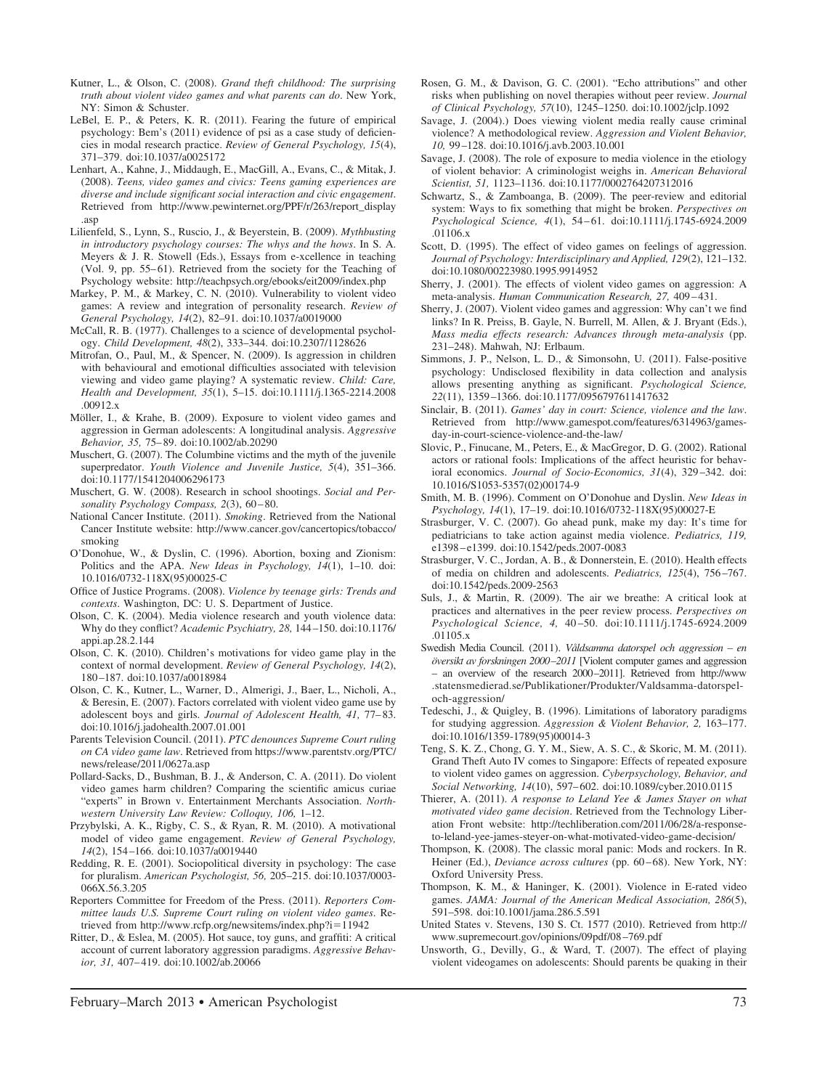<span id="page-16-8"></span>Kutner, L., & Olson, C. (2008). *Grand theft childhood: The surprising truth about violent video games and what parents can do*. New York, NY: Simon & Schuster.

- <span id="page-16-27"></span>LeBel, E. P., & Peters, K. R. (2011). Fearing the future of empirical psychology: Bem's (2011) evidence of psi as a case study of deficiencies in modal research practice. *Review of General Psychology, 15*(4), 371–379. [doi:10.1037/a0025172](http://dx.doi.org/10.1037/a0025172)
- <span id="page-16-9"></span>Lenhart, A., Kahne, J., Middaugh, E., MacGill, A., Evans, C., & Mitak, J. (2008). *Teens, video games and civics: Teens gaming experiences are diverse and include significant social interaction and civic engagement*. Retrieved from [http://www.pewinternet.org/PPF/r/263/report\\_display](www.pewinternet.org/PPF/r/263/report_display.asp) [.asp](www.pewinternet.org/PPF/r/263/report_display.asp)
- <span id="page-16-25"></span>Lilienfeld, S., Lynn, S., Ruscio, J., & Beyerstein, B. (2009). *Mythbusting in introductory psychology courses: The whys and the hows*. In S. A. Meyers & J. R. Stowell (Eds.), Essays from e-xcellence in teaching (Vol. 9, pp. 55–61). Retrieved from the society for the Teaching of Psychology website: [http://teachpsych.org/ebooks/eit2009/index.php](teachpsych.org/ebooks/eit2009/index.php)
- <span id="page-16-41"></span>Markey, P. M., & Markey, C. N. (2010). Vulnerability to violent video games: A review and integration of personality research. *Review of General Psychology, 14*(2), 82–91. [doi:10.1037/a0019000](http://dx.doi.org/10.1037/a0019000)

<span id="page-16-29"></span>McCall, R. B. (1977). Challenges to a science of developmental psychology. *Child Development, 48*(2), 333–344. [doi:10.2307/1128626](http://dx.doi.org/10.2307/1128626)

- <span id="page-16-17"></span>Mitrofan, O., Paul, M., & Spencer, N. (2009). Is aggression in children with behavioural and emotional difficulties associated with television viewing and video game playing? A systematic review. *Child: Care, Health and Development, 35*(1), 5–15. [doi:10.1111/j.1365-2214.2008](http://dx.doi.org/10.1111/j.1365-2214.2008.00912.x) [.00912.x](http://dx.doi.org/10.1111/j.1365-2214.2008.00912.x)
- <span id="page-16-14"></span>Möller, I., & Krahe, B. (2009). Exposure to violent video games and aggression in German adolescents: A longitudinal analysis. *Aggressive Behavior, 35,* 75–89. [doi:10.1002/ab.20290](http://dx.doi.org/10.1002/ab.20290)
- <span id="page-16-3"></span>Muschert, G. (2007). The Columbine victims and the myth of the juvenile superpredator. *Youth Violence and Juvenile Justice, 5*(4), 351–366. [doi:10.1177/1541204006296173](http://dx.doi.org/10.1177/1541204006296173)
- <span id="page-16-4"></span>Muschert, G. W. (2008). Research in school shootings. *Social and Personality Psychology Compass, 2*(3), 60–80.
- <span id="page-16-28"></span>National Cancer Institute. (2011). *Smoking*. Retrieved from the National Cancer Institute website: [http://www.cancer.gov/cancertopics/tobacco/](www.cancer.gov/cancertopics/tobacco/smoking) [smoking](www.cancer.gov/cancertopics/tobacco/smoking)
- <span id="page-16-37"></span>O'Donohue, W., & Dyslin, C. (1996). Abortion, boxing and Zionism: Politics and the APA. *New Ideas in Psychology, 14*(1), 1–10. [doi:](http://dx.doi.org/10.1016/0732-118X%2895%2900025-C) [10.1016/0732-118X\(95\)00025-C](http://dx.doi.org/10.1016/0732-118X%2895%2900025-C)
- <span id="page-16-32"></span>Office of Justice Programs. (2008). *Violence by teenage girls: Trends and contexts*. Washington, DC: U. S. Department of Justice.
- <span id="page-16-13"></span>Olson, C. K. (2004). Media violence research and youth violence data: Why do they conflict? *Academic Psychiatry, 28,* 144–150. [doi:10.1176/](http://dx.doi.org/10.1176/appi.ap.28.2.144) [appi.ap.28.2.144](http://dx.doi.org/10.1176/appi.ap.28.2.144)
- <span id="page-16-7"></span>Olson, C. K. (2010). Children's motivations for video game play in the context of normal development. *Review of General Psychology, 14*(2), 180–187. [doi:10.1037/a0018984](http://dx.doi.org/10.1037/a0018984)
- <span id="page-16-10"></span>Olson, C. K., Kutner, L., Warner, D., Almerigi, J., Baer, L., Nicholi, A., & Beresin, E. (2007). Factors correlated with violent video game use by adolescent boys and girls. *Journal of Adolescent Health, 41,* 77–83. [doi:10.1016/j.jadohealth.2007.01.001](http://dx.doi.org/10.1016/j.jadohealth.2007.01.001)
- <span id="page-16-2"></span>Parents Television Council. (2011). *PTC denounces Supreme Court ruling on CA video game law*. Retrieved from https://www.parentstv.org/PTC/ news/release/2011/0627a.asp
- <span id="page-16-20"></span>Pollard-Sacks, D., Bushman, B. J., & Anderson, C. A. (2011). Do violent video games harm children? Comparing the scientific amicus curiae "experts" in Brown v. Entertainment Merchants Association. *Northwestern University Law Review: Colloquy, 106,* 1–12.
- <span id="page-16-42"></span>Przybylski, A. K., Rigby, C. S., & Ryan, R. M. (2010). A motivational model of video game engagement. *Review of General Psychology, 14*(2), 154–166. [doi:10.1037/a0019440](http://dx.doi.org/10.1037/a0019440)
- <span id="page-16-30"></span>Redding, R. E. (2001). Sociopolitical diversity in psychology: The case for pluralism. *American Psychologist, 56,* 205–215. [doi:10.1037/0003-](http://dx.doi.org/10.1037/0003-066X.56.3.205) [066X.56.3.205](http://dx.doi.org/10.1037/0003-066X.56.3.205)
- <span id="page-16-0"></span>Reporters Committee for Freedom of the Press. (2011). *Reporters Committee lauds U.S. Supreme Court ruling on violent video games*. Retrieved from [http://www.rcfp.org/newsitems/index.php?i](www.rcfp.org/newsitems/index.php?i=11942)=11942
- <span id="page-16-21"></span>Ritter, D., & Eslea, M. (2005). Hot sauce, toy guns, and graffiti: A critical account of current laboratory aggression paradigms. *Aggressive Behavior, 31,* 407–419. [doi:10.1002/ab.20066](http://dx.doi.org/10.1002/ab.20066)
- <span id="page-16-31"></span>Rosen, G. M., & Davison, G. C. (2001). "Echo attributions" and other risks when publishing on novel therapies without peer review. *Journal of Clinical Psychology, 57*(10), 1245–1250. [doi:10.1002/jclp.1092](http://dx.doi.org/10.1002/jclp.1092)
- <span id="page-16-22"></span>Savage, J. (2004).) Does viewing violent media really cause criminal violence? A methodological review. *Aggression and Violent Behavior, 10,* 99–128. [doi:10.1016/j.avb.2003.10.001](http://dx.doi.org/10.1016/j.avb.2003.10.001)
- <span id="page-16-23"></span>Savage, J. (2008). The role of exposure to media violence in the etiology of violent behavior: A criminologist weighs in. *American Behavioral Scientist, 51,* 1123–1136. [doi:10.1177/0002764207312016](http://dx.doi.org/10.1177/0002764207312016)
- <span id="page-16-39"></span>Schwartz, S., & Zamboanga, B. (2009). The peer-review and editorial system: Ways to fix something that might be broken. *Perspectives on Psychological Science, 4*(1), 54–61. [doi:10.1111/j.1745-6924.2009](http://dx.doi.org/10.1111/j.1745-6924.2009.01106.x) [.01106.x](http://dx.doi.org/10.1111/j.1745-6924.2009.01106.x)
- <span id="page-16-5"></span>Scott, D. (1995). The effect of video games on feelings of aggression. *Journal of Psychology: Interdisciplinary and Applied, 129*(2), 121–132. [doi:10.1080/00223980.1995.9914952](http://dx.doi.org/10.1080/00223980.1995.9914952)
- <span id="page-16-11"></span>Sherry, J. (2001). The effects of violent video games on aggression: A meta-analysis. *Human Communication Research, 27,* 409–431.
- <span id="page-16-18"></span>Sherry, J. (2007). Violent video games and aggression: Why can't we find links? In R. Preiss, B. Gayle, N. Burrell, M. Allen, & J. Bryant (Eds.), *Mass media effects research: Advances through meta-analysis* (pp. 231–248). Mahwah, NJ: Erlbaum.
- <span id="page-16-26"></span>Simmons, J. P., Nelson, L. D., & Simonsohn, U. (2011). False-positive psychology: Undisclosed flexibility in data collection and analysis allows presenting anything as significant. *Psychological Science, 22*(11), 1359–1366. [doi:10.1177/0956797611417632](http://dx.doi.org/10.1177/0956797611417632)
- <span id="page-16-43"></span>Sinclair, B. (2011). *Games' day in court: Science, violence and the law*. Retrieved from [http://www.gamespot.com/features/6314963/games](www.gamespot.com/features/6314963/games-day-in-court-science-violence-and-the-law/)[day-in-court-science-violence-and-the-law/](www.gamespot.com/features/6314963/games-day-in-court-science-violence-and-the-law/)
- <span id="page-16-33"></span>Slovic, P., Finucane, M., Peters, E., & MacGregor, D. G. (2002). Rational actors or rational fools: Implications of the affect heuristic for behavioral economics. *Journal of Socio-Economics, 31*(4), 329–342. [doi:](http://dx.doi.org/10.1016/S1053-5357%2802%2900174-9) [10.1016/S1053-5357\(02\)00174-9](http://dx.doi.org/10.1016/S1053-5357%2802%2900174-9)
- <span id="page-16-38"></span>Smith, M. B. (1996). Comment on O'Donohue and Dyslin. *New Ideas in Psychology, 14*(1), 17–19. [doi:10.1016/0732-118X\(95\)00027-E](http://dx.doi.org/10.1016/0732-118X%2895%2900027-E)
- <span id="page-16-6"></span>Strasburger, V. C. (2007). Go ahead punk, make my day: It's time for pediatricians to take action against media violence. *Pediatrics, 119,* e1398–e1399. [doi:10.1542/peds.2007-0083](http://dx.doi.org/10.1542/peds.2007-0083)
- <span id="page-16-36"></span>Strasburger, V. C., Jordan, A. B., & Donnerstein, E. (2010). Health effects of media on children and adolescents. *Pediatrics, 125*(4), 756–767. [doi:10.1542/peds.2009-2563](http://dx.doi.org/10.1542/peds.2009-2563)
- <span id="page-16-40"></span>Suls, J., & Martin, R. (2009). The air we breathe: A critical look at practices and alternatives in the peer review process. *Perspectives on Psychological Science, 4,* 40–50. [doi:10.1111/j.1745-6924.2009](http://dx.doi.org/10.1111/j.1745-6924.2009.01105.x) [.01105.x](http://dx.doi.org/10.1111/j.1745-6924.2009.01105.x)
- <span id="page-16-19"></span>Swedish Media Council. (2011). *Våldsamma datorspel och aggression – en översikt av forskningen 2000–2011* [Violent computer games and aggression – an overview of the research 2000–2011]. Retrieved from [http://www](www.statensmedierad.se/Publikationer/Produkter/Valdsamma-datorspel-och-aggression/) [.statensmedierad.se/Publikationer/Produkter/Valdsamma-datorspel](www.statensmedierad.se/Publikationer/Produkter/Valdsamma-datorspel-och-aggression/)[och-aggression/](www.statensmedierad.se/Publikationer/Produkter/Valdsamma-datorspel-och-aggression/)
- <span id="page-16-24"></span>Tedeschi, J., & Quigley, B. (1996). Limitations of laboratory paradigms for studying aggression. *Aggression & Violent Behavior, 2,* 163–177. [doi:10.1016/1359-1789\(95\)00014-3](http://dx.doi.org/10.1016/1359-1789%2895%2900014-3)
- <span id="page-16-15"></span>Teng, S. K. Z., Chong, G. Y. M., Siew, A. S. C., & Skoric, M. M. (2011). Grand Theft Auto IV comes to Singapore: Effects of repeated exposure to violent video games on aggression. *Cyberpsychology, Behavior, and Social Networking, 14*(10), 597–602. [doi:10.1089/cyber.2010.0115](http://dx.doi.org/10.1089/cyber.2010.0115)
- <span id="page-16-1"></span>Thierer, A. (2011). *A response to Leland Yee & James Stayer on what motivated video game decision*. Retrieved from the Technology Liberation Front website: [http://techliberation.com/2011/06/28/a-response](techliberation.com/2011/06/28/a-response-to-leland-yee-james-steyer-on-what-motivated-video-game-decision/)[to-leland-yee-james-steyer-on-what-motivated-video-game-decision/](techliberation.com/2011/06/28/a-response-to-leland-yee-james-steyer-on-what-motivated-video-game-decision/)
- <span id="page-16-34"></span>Thompson, K. (2008). The classic moral panic: Mods and rockers. In R. Heiner (Ed.), *Deviance across cultures* (pp. 60–68). New York, NY: Oxford University Press.
- <span id="page-16-35"></span>Thompson, K. M., & Haninger, K. (2001). Violence in E-rated video games. *JAMA: Journal of the American Medical Association, 286*(5), 591–598. [doi:10.1001/jama.286.5.591](http://dx.doi.org/10.1001/jama.286.5.591)
- <span id="page-16-12"></span>United States v. Stevens, 130 S. Ct. 1577 (2010). Retrieved from [http://](www.supremecourt.gov/opinions/09pdf/08-769.pdf) [www.supremecourt.gov/opinions/09pdf/08–769.pdf](www.supremecourt.gov/opinions/09pdf/08-769.pdf)
- <span id="page-16-16"></span>Unsworth, G., Devilly, G., & Ward, T. (2007). The effect of playing violent videogames on adolescents: Should parents be quaking in their